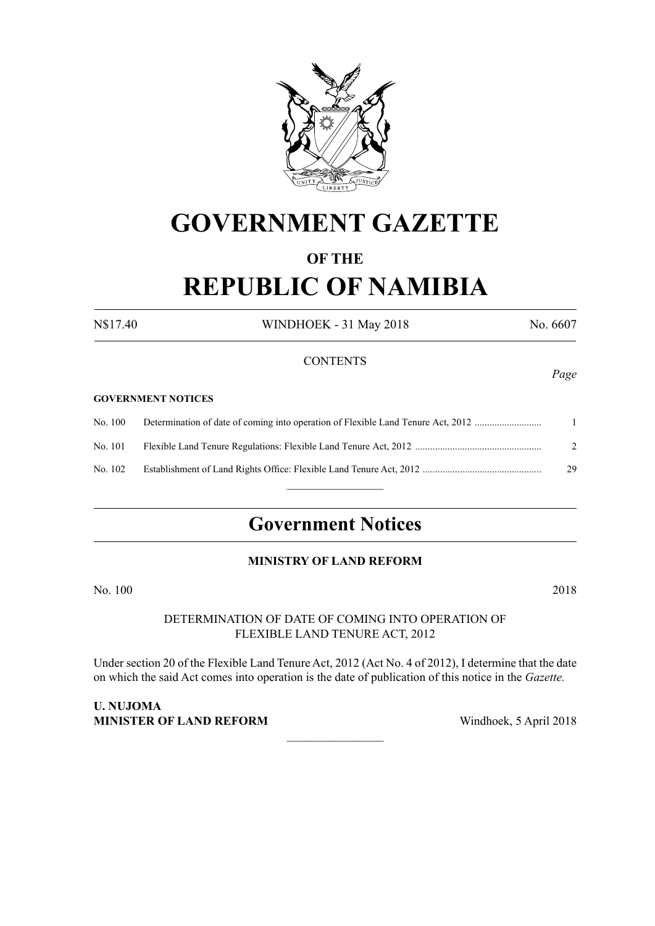

# **GOVERNMENT GAZETTE**

# **OF THE REPUBLIC OF NAMIBIA**

N\$17.40 WINDHOEK - 31 May 2018 No. 6607

## **CONTENTS**

#### **GOVERNMENT NOTICES**

No. 100 Determination of date of coming into operation of Flexible Land Tenure Act, 2012 ........................... 1 No. 101 Flexible Land Tenure Regulations: Flexible Land Tenure Act, 2012 ................................................... 2 No. 102 Establishment of Land Rights Office: Flexible Land Tenure Act, 2012 ................................................ 29  $\frac{1}{2}$ 

# **Government Notices**

# **ministry of LAND REFORM**

No. 100 2018

## DETERMINATION OF DATE OF COMING INTO OPERATION OF FLEXIBLE LAND TENURE ACT, 2012

Under section 20 of the Flexible Land Tenure Act, 2012 (Act No. 4 of 2012), I determine that the date on which the said Act comes into operation is the date of publication of this notice in the *Gazette.*

 $\overline{\phantom{a}}$  , where  $\overline{\phantom{a}}$ 

**U. NUJOMA MINISTER OF LAND REFORM** Windhoek, 5 April 2018

*Page*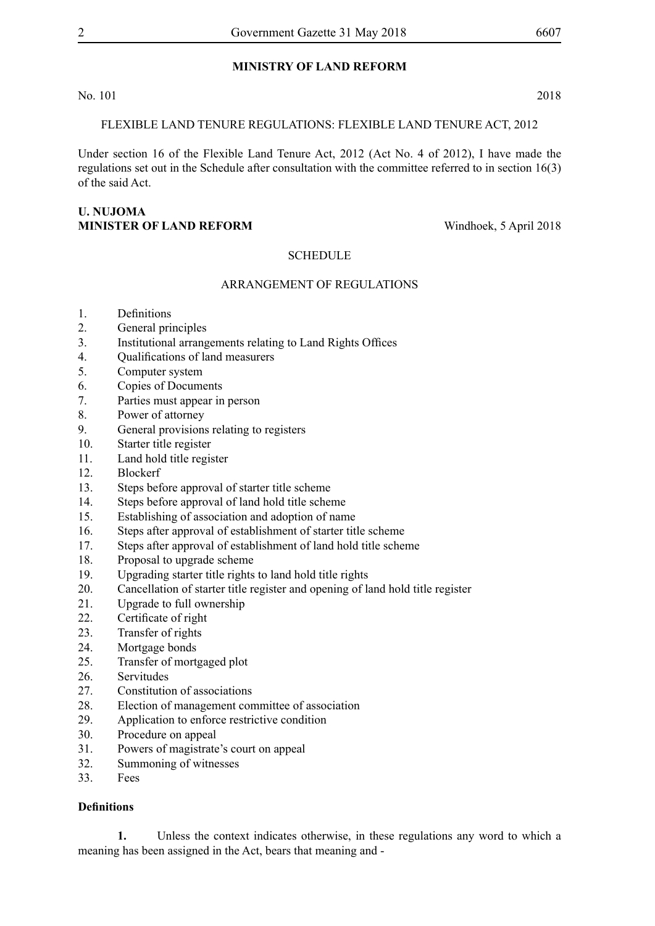# **ministry of LAND REFORM**

No. 101 2018

## FLEXIBLE LAND TENURE REGULATIONS: FLEXIBLE LAND TENURE ACT, 2012

Under section 16 of the Flexible Land Tenure Act, 2012 (Act No. 4 of 2012), I have made the regulations set out in the Schedule after consultation with the committee referred to in section 16(3) of the said Act.

## **U. NUJOMA MINISTER OF LAND REFORM** Windhoek, 5 April 2018

# **SCHEDULE**

### ARRANGEMENT OF REGULATIONS

- 1. Definitions
- 2. General principles
- 3. Institutional arrangements relating to Land Rights Offices
- 4. Qualifications of land measurers
- 5. Computer system
- 6. Copies of Documents
- 7. Parties must appear in person
- 8. Power of attorney
- 9. General provisions relating to registers
- 10. Starter title register
- 11. Land hold title register
- 12. Blockerf
- 13. Steps before approval of starter title scheme
- 14. Steps before approval of land hold title scheme
- 15. Establishing of association and adoption of name
- 16. Steps after approval of establishment of starter title scheme
- 17. Steps after approval of establishment of land hold title scheme
- 18. Proposal to upgrade scheme
- 19. Upgrading starter title rights to land hold title rights
- 20. Cancellation of starter title register and opening of land hold title register
- 21. Upgrade to full ownership
- 22. Certificate of right
- 23. Transfer of rights
- 24. Mortgage bonds
- 25. Transfer of mortgaged plot
- 26. Servitudes
- 27. Constitution of associations
- 28. Election of management committee of association
- 29. Application to enforce restrictive condition
- 30. Procedure on appeal
- 31. Powers of magistrate's court on appeal
- 32. Summoning of witnesses
- 33. Fees

### **Definitions**

**1.** Unless the context indicates otherwise, in these regulations any word to which a meaning has been assigned in the Act, bears that meaning and -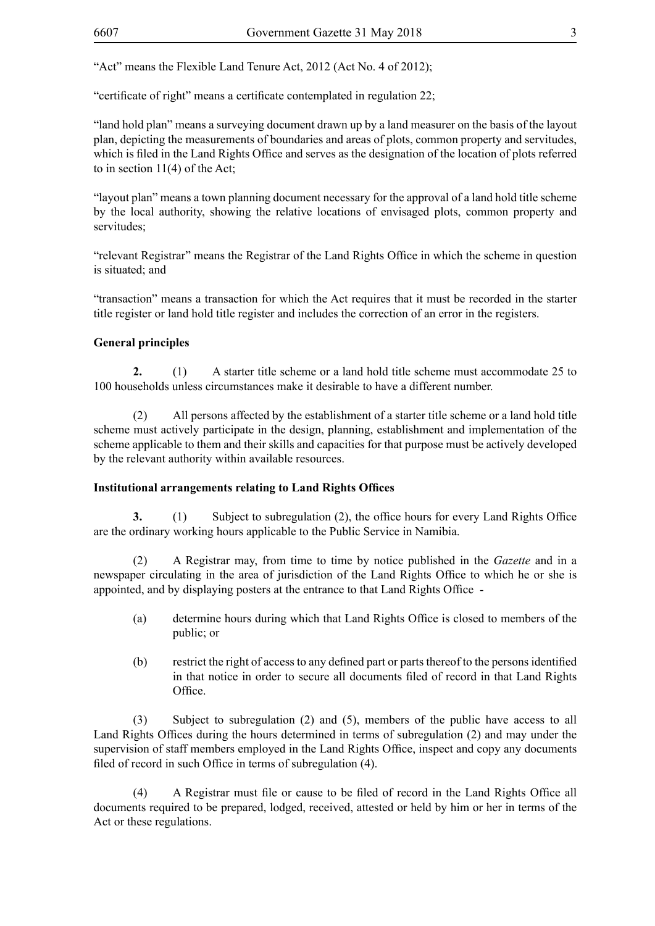"Act" means the Flexible Land Tenure Act, 2012 (Act No. 4 of 2012);

"certificate of right" means a certificate contemplated in regulation 22;

"land hold plan" means a surveying document drawn up by a land measurer on the basis of the layout plan, depicting the measurements of boundaries and areas of plots, common property and servitudes, which is filed in the Land Rights Office and serves as the designation of the location of plots referred to in section 11(4) of the Act;

"layout plan" means a town planning document necessary for the approval of a land hold title scheme by the local authority, showing the relative locations of envisaged plots, common property and servitudes<sup>.</sup>

"relevant Registrar" means the Registrar of the Land Rights Office in which the scheme in question is situated; and

"transaction" means a transaction for which the Act requires that it must be recorded in the starter title register or land hold title register and includes the correction of an error in the registers.

# **General principles**

**2.** (1) A starter title scheme or a land hold title scheme must accommodate 25 to 100 households unless circumstances make it desirable to have a different number.

(2) All persons affected by the establishment of a starter title scheme or a land hold title scheme must actively participate in the design, planning, establishment and implementation of the scheme applicable to them and their skills and capacities for that purpose must be actively developed by the relevant authority within available resources.

# **Institutional arrangements relating to Land Rights Offices**

**3.** (1) Subject to subregulation (2), the office hours for every Land Rights Office are the ordinary working hours applicable to the Public Service in Namibia.

(2) A Registrar may, from time to time by notice published in the *Gazette* and in a newspaper circulating in the area of jurisdiction of the Land Rights Office to which he or she is appointed, and by displaying posters at the entrance to that Land Rights Office -

- (a) determine hours during which that Land Rights Office is closed to members of the public; or
- (b) restrict the right of access to any defined part or parts thereof to the persons identified in that notice in order to secure all documents filed of record in that Land Rights Office.

(3) Subject to subregulation (2) and (5), members of the public have access to all Land Rights Offices during the hours determined in terms of subregulation (2) and may under the supervision of staff members employed in the Land Rights Office, inspect and copy any documents filed of record in such Office in terms of subregulation (4).

(4) A Registrar must file or cause to be filed of record in the Land Rights Office all documents required to be prepared, lodged, received, attested or held by him or her in terms of the Act or these regulations.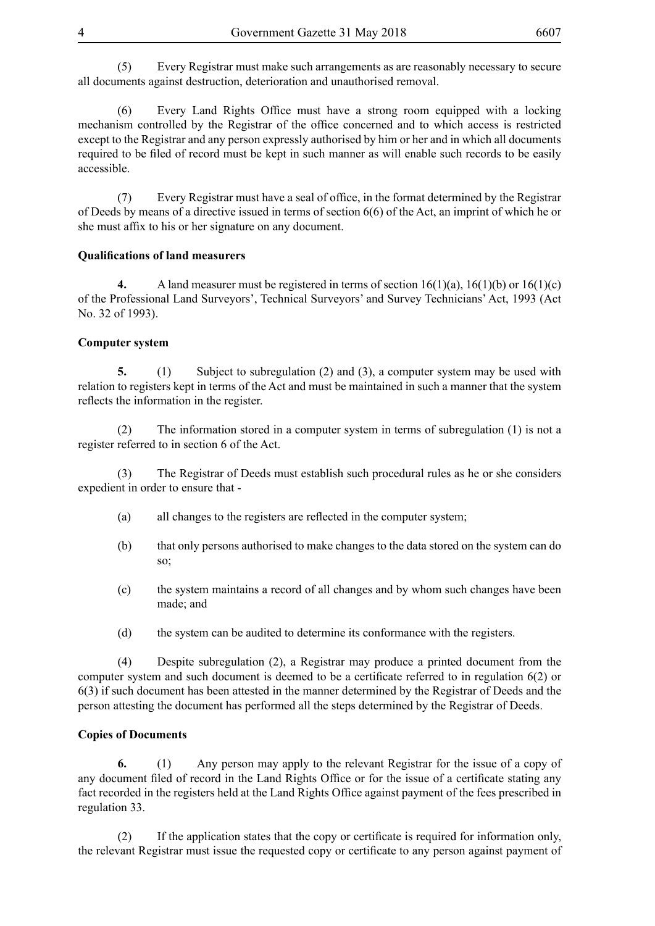(5) Every Registrar must make such arrangements as are reasonably necessary to secure all documents against destruction, deterioration and unauthorised removal.

(6) Every Land Rights Office must have a strong room equipped with a locking mechanism controlled by the Registrar of the office concerned and to which access is restricted except to the Registrar and any person expressly authorised by him or her and in which all documents required to be filed of record must be kept in such manner as will enable such records to be easily accessible.

(7) Every Registrar must have a seal of office, in the format determined by the Registrar of Deeds by means of a directive issued in terms of section 6(6) of the Act, an imprint of which he or she must affix to his or her signature on any document.

### **Qualifications of land measurers**

**4.** A land measurer must be registered in terms of section 16(1)(a), 16(1)(b) or 16(1)(c) of the Professional Land Surveyors', Technical Surveyors' and Survey Technicians' Act, 1993 (Act No. 32 of 1993).

#### **Computer system**

**5.** (1) Subject to subregulation (2) and (3), a computer system may be used with relation to registers kept in terms of the Act and must be maintained in such a manner that the system reflects the information in the register.

(2) The information stored in a computer system in terms of subregulation (1) is not a register referred to in section 6 of the Act.

(3) The Registrar of Deeds must establish such procedural rules as he or she considers expedient in order to ensure that -

- (a) all changes to the registers are reflected in the computer system;
- (b) that only persons authorised to make changes to the data stored on the system can do so;
- (c) the system maintains a record of all changes and by whom such changes have been made; and
- (d) the system can be audited to determine its conformance with the registers.

(4) Despite subregulation (2), a Registrar may produce a printed document from the computer system and such document is deemed to be a certificate referred to in regulation 6(2) or 6(3) if such document has been attested in the manner determined by the Registrar of Deeds and the person attesting the document has performed all the steps determined by the Registrar of Deeds.

### **Copies of Documents**

**6.** (1) Any person may apply to the relevant Registrar for the issue of a copy of any document filed of record in the Land Rights Office or for the issue of a certificate stating any fact recorded in the registers held at the Land Rights Office against payment of the fees prescribed in regulation 33.

(2) If the application states that the copy or certificate is required for information only, the relevant Registrar must issue the requested copy or certificate to any person against payment of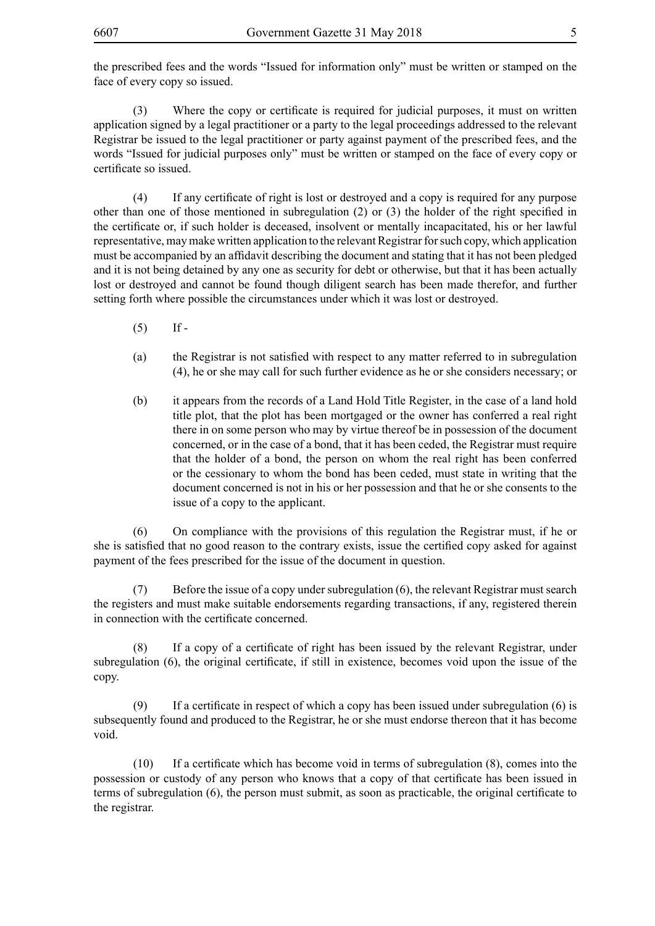the prescribed fees and the words "Issued for information only" must be written or stamped on the face of every copy so issued.

(3) Where the copy or certificate is required for judicial purposes, it must on written application signed by a legal practitioner or a party to the legal proceedings addressed to the relevant Registrar be issued to the legal practitioner or party against payment of the prescribed fees, and the words "Issued for judicial purposes only" must be written or stamped on the face of every copy or certificate so issued.

(4) If any certificate of right is lost or destroyed and a copy is required for any purpose other than one of those mentioned in subregulation (2) or (3) the holder of the right specified in the certificate or, if such holder is deceased, insolvent or mentally incapacitated, his or her lawful representative, may make written application to the relevant Registrar for such copy, which application must be accompanied by an affidavit describing the document and stating that it has not been pledged and it is not being detained by any one as security for debt or otherwise, but that it has been actually lost or destroyed and cannot be found though diligent search has been made therefor, and further setting forth where possible the circumstances under which it was lost or destroyed.

- $(5)$  If -
- (a) the Registrar is not satisfied with respect to any matter referred to in subregulation (4), he or she may call for such further evidence as he or she considers necessary; or
- (b) it appears from the records of a Land Hold Title Register, in the case of a land hold title plot, that the plot has been mortgaged or the owner has conferred a real right there in on some person who may by virtue thereof be in possession of the document concerned, or in the case of a bond, that it has been ceded, the Registrar must require that the holder of a bond, the person on whom the real right has been conferred or the cessionary to whom the bond has been ceded, must state in writing that the document concerned is not in his or her possession and that he or she consents to the issue of a copy to the applicant.

(6) On compliance with the provisions of this regulation the Registrar must, if he or she is satisfied that no good reason to the contrary exists, issue the certified copy asked for against payment of the fees prescribed for the issue of the document in question.

(7) Before the issue of a copy under subregulation (6), the relevant Registrar must search the registers and must make suitable endorsements regarding transactions, if any, registered therein in connection with the certificate concerned.

(8) If a copy of a certificate of right has been issued by the relevant Registrar, under subregulation (6), the original certificate, if still in existence, becomes void upon the issue of the copy.

(9) If a certificate in respect of which a copy has been issued under subregulation (6) is subsequently found and produced to the Registrar, he or she must endorse thereon that it has become void.

(10) If a certificate which has become void in terms of subregulation (8), comes into the possession or custody of any person who knows that a copy of that certificate has been issued in terms of subregulation (6), the person must submit, as soon as practicable, the original certificate to the registrar.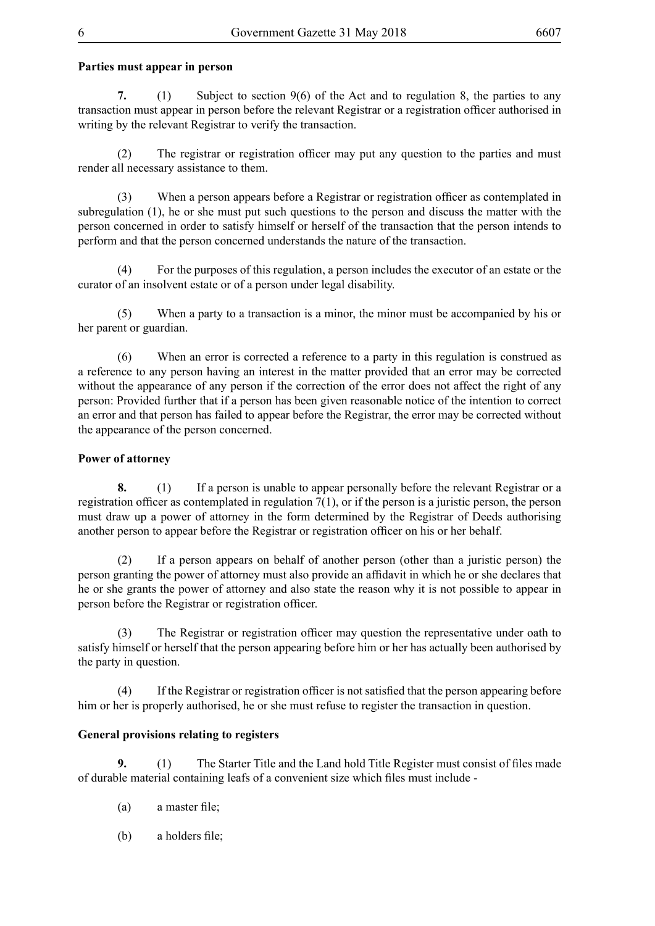# **Parties must appear in person**

**7.** (1) Subject to section 9(6) of the Act and to regulation 8, the parties to any transaction must appear in person before the relevant Registrar or a registration officer authorised in writing by the relevant Registrar to verify the transaction.

(2) The registrar or registration officer may put any question to the parties and must render all necessary assistance to them.

(3) When a person appears before a Registrar or registration officer as contemplated in subregulation (1), he or she must put such questions to the person and discuss the matter with the person concerned in order to satisfy himself or herself of the transaction that the person intends to perform and that the person concerned understands the nature of the transaction.

(4) For the purposes of this regulation, a person includes the executor of an estate or the curator of an insolvent estate or of a person under legal disability.

(5) When a party to a transaction is a minor, the minor must be accompanied by his or her parent or guardian.

(6) When an error is corrected a reference to a party in this regulation is construed as a reference to any person having an interest in the matter provided that an error may be corrected without the appearance of any person if the correction of the error does not affect the right of any person: Provided further that if a person has been given reasonable notice of the intention to correct an error and that person has failed to appear before the Registrar, the error may be corrected without the appearance of the person concerned.

## **Power of attorney**

**8.** (1) If a person is unable to appear personally before the relevant Registrar or a registration officer as contemplated in regulation 7(1), or if the person is a juristic person, the person must draw up a power of attorney in the form determined by the Registrar of Deeds authorising another person to appear before the Registrar or registration officer on his or her behalf.

(2) If a person appears on behalf of another person (other than a juristic person) the person granting the power of attorney must also provide an affidavit in which he or she declares that he or she grants the power of attorney and also state the reason why it is not possible to appear in person before the Registrar or registration officer.

(3) The Registrar or registration officer may question the representative under oath to satisfy himself or herself that the person appearing before him or her has actually been authorised by the party in question.

(4) If the Registrar or registration officer is not satisfied that the person appearing before him or her is properly authorised, he or she must refuse to register the transaction in question.

### **General provisions relating to registers**

**9.** (1) The Starter Title and the Land hold Title Register must consist of files made of durable material containing leafs of a convenient size which files must include -

- (a) a master file;
- (b) a holders file;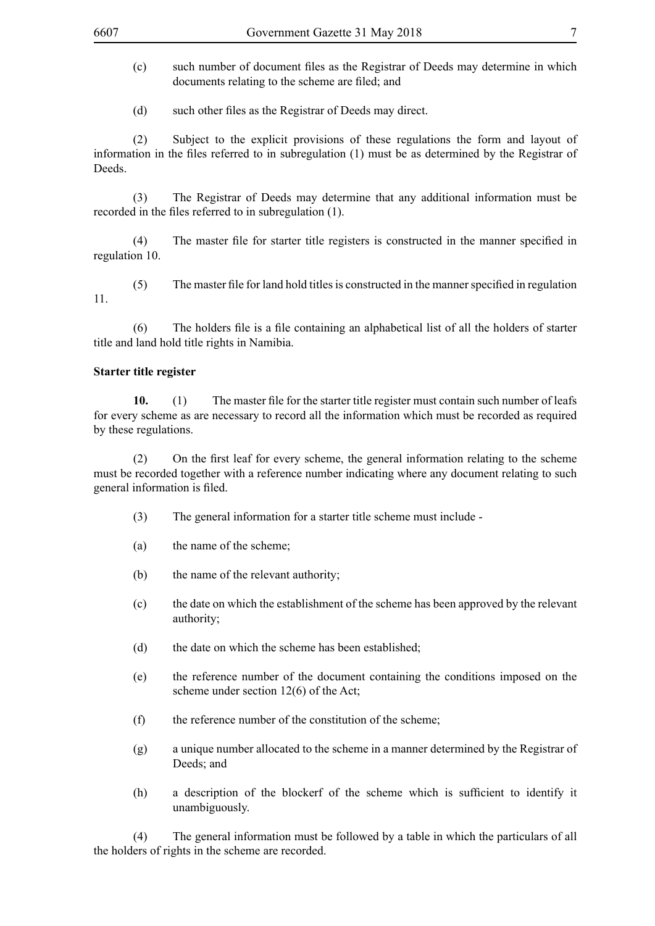- (c) such number of document files as the Registrar of Deeds may determine in which documents relating to the scheme are filed; and
- (d) such other files as the Registrar of Deeds may direct.

(2) Subject to the explicit provisions of these regulations the form and layout of information in the files referred to in subregulation (1) must be as determined by the Registrar of **Deeds** 

(3) The Registrar of Deeds may determine that any additional information must be recorded in the files referred to in subregulation (1).

(4) The master file for starter title registers is constructed in the manner specified in regulation 10.

(5) The master file for land hold titles is constructed in the manner specified in regulation 11.

(6) The holders file is a file containing an alphabetical list of all the holders of starter title and land hold title rights in Namibia.

## **Starter title register**

**10.** (1) The master file for the starter title register must contain such number of leafs for every scheme as are necessary to record all the information which must be recorded as required by these regulations.

(2) On the first leaf for every scheme, the general information relating to the scheme must be recorded together with a reference number indicating where any document relating to such general information is filed.

- (3) The general information for a starter title scheme must include -
- (a) the name of the scheme;
- (b) the name of the relevant authority;
- (c) the date on which the establishment of the scheme has been approved by the relevant authority;
- (d) the date on which the scheme has been established;
- (e) the reference number of the document containing the conditions imposed on the scheme under section 12(6) of the Act;
- (f) the reference number of the constitution of the scheme;
- (g) a unique number allocated to the scheme in a manner determined by the Registrar of Deeds; and
- (h) a description of the blockerf of the scheme which is sufficient to identify it unambiguously.

(4) The general information must be followed by a table in which the particulars of all the holders of rights in the scheme are recorded.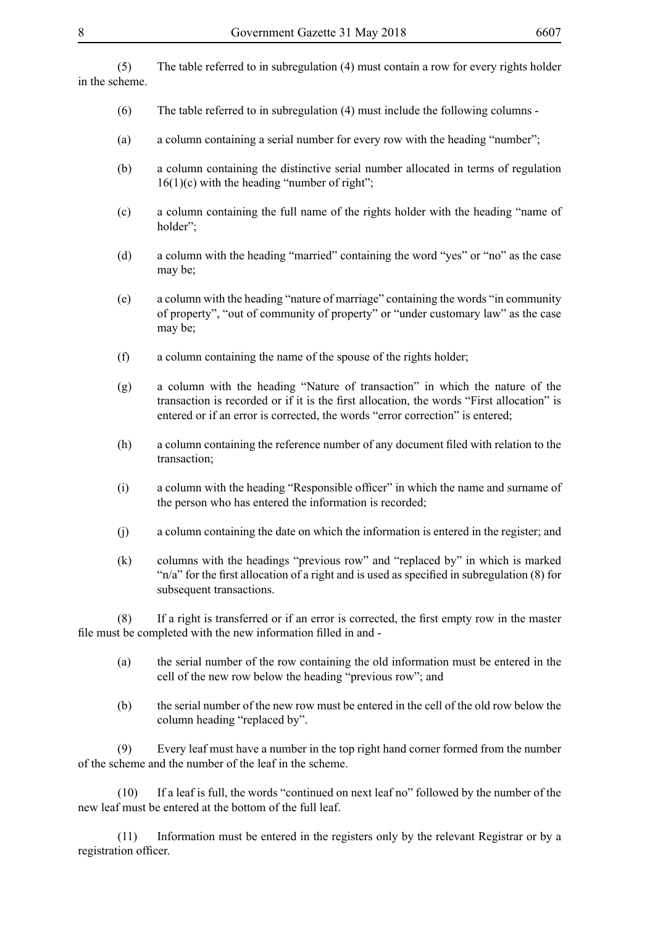(5) The table referred to in subregulation (4) must contain a row for every rights holder in the scheme.

- (6) The table referred to in subregulation (4) must include the following columns -
- (a) a column containing a serial number for every row with the heading "number";
- (b) a column containing the distinctive serial number allocated in terms of regulation  $16(1)(c)$  with the heading "number of right";
- (c) a column containing the full name of the rights holder with the heading "name of holder";
- (d) a column with the heading "married" containing the word "yes" or "no" as the case may be;
- (e) a column with the heading "nature of marriage" containing the words "in community of property", "out of community of property" or "under customary law" as the case may be;
- (f) a column containing the name of the spouse of the rights holder;
- (g) a column with the heading "Nature of transaction" in which the nature of the transaction is recorded or if it is the first allocation, the words "First allocation" is entered or if an error is corrected, the words "error correction" is entered;
- (h) a column containing the reference number of any document filed with relation to the transaction;
- (i) a column with the heading "Responsible officer" in which the name and surname of the person who has entered the information is recorded;
- (j) a column containing the date on which the information is entered in the register; and
- (k) columns with the headings "previous row" and "replaced by" in which is marked "n/a" for the first allocation of a right and is used as specified in subregulation (8) for subsequent transactions.

(8) If a right is transferred or if an error is corrected, the first empty row in the master file must be completed with the new information filled in and -

- (a) the serial number of the row containing the old information must be entered in the cell of the new row below the heading "previous row"; and
- (b) the serial number of the new row must be entered in the cell of the old row below the column heading "replaced by".

(9) Every leaf must have a number in the top right hand corner formed from the number of the scheme and the number of the leaf in the scheme.

(10) If a leaf is full, the words "continued on next leaf no" followed by the number of the new leaf must be entered at the bottom of the full leaf.

(11) Information must be entered in the registers only by the relevant Registrar or by a registration officer.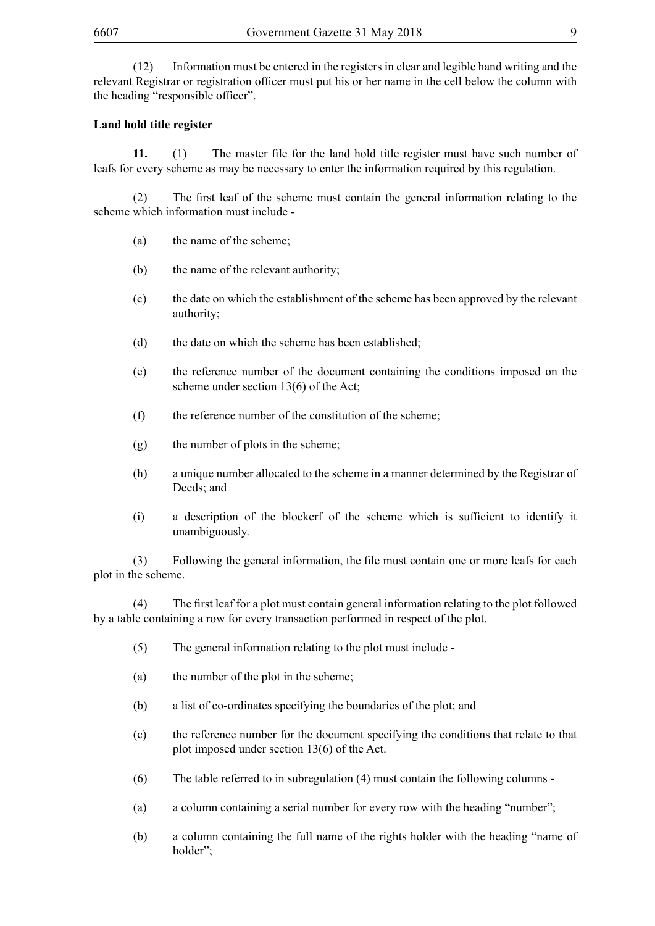(12) Information must be entered in the registers in clear and legible hand writing and the relevant Registrar or registration officer must put his or her name in the cell below the column with the heading "responsible officer".

#### **Land hold title register**

**11.** (1) The master file for the land hold title register must have such number of leafs for every scheme as may be necessary to enter the information required by this regulation.

(2) The first leaf of the scheme must contain the general information relating to the scheme which information must include -

- (a) the name of the scheme;
- (b) the name of the relevant authority;
- (c) the date on which the establishment of the scheme has been approved by the relevant authority;
- (d) the date on which the scheme has been established;
- (e) the reference number of the document containing the conditions imposed on the scheme under section 13(6) of the Act;
- (f) the reference number of the constitution of the scheme;
- (g) the number of plots in the scheme;
- (h) a unique number allocated to the scheme in a manner determined by the Registrar of Deeds; and
- (i) a description of the blockerf of the scheme which is sufficient to identify it unambiguously.

(3) Following the general information, the file must contain one or more leafs for each plot in the scheme.

(4) The first leaf for a plot must contain general information relating to the plot followed by a table containing a row for every transaction performed in respect of the plot.

- (5) The general information relating to the plot must include -
- (a) the number of the plot in the scheme;
- (b) a list of co-ordinates specifying the boundaries of the plot; and
- (c) the reference number for the document specifying the conditions that relate to that plot imposed under section 13(6) of the Act.
- (6) The table referred to in subregulation (4) must contain the following columns -
- (a) a column containing a serial number for every row with the heading "number";
- (b) a column containing the full name of the rights holder with the heading "name of holder";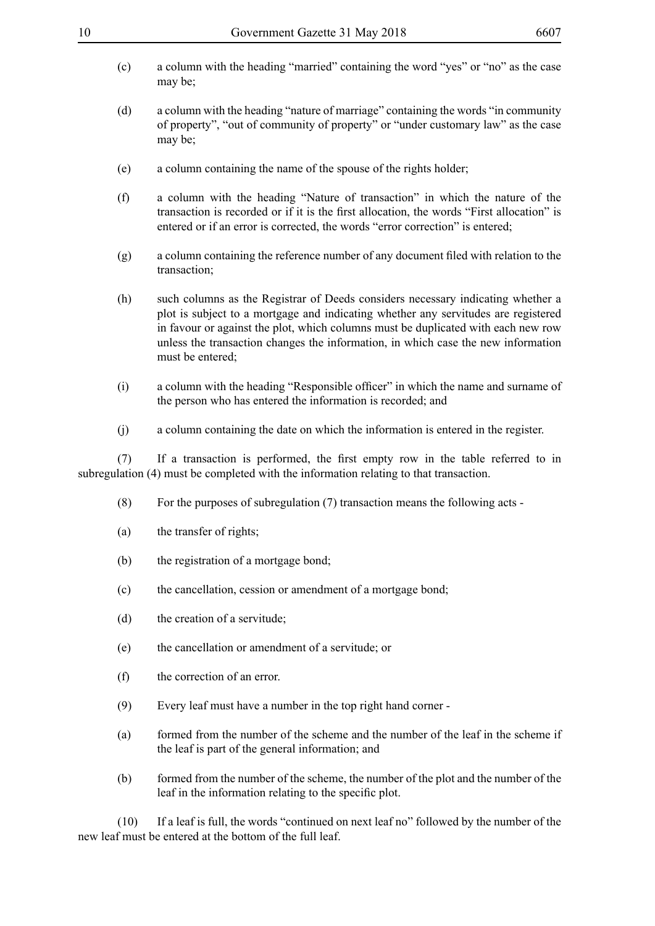- 
- (c) a column with the heading "married" containing the word "yes" or "no" as the case may be;
- (d) a column with the heading "nature of marriage" containing the words "in community of property", "out of community of property" or "under customary law" as the case may be;
- (e) a column containing the name of the spouse of the rights holder;
- (f) a column with the heading "Nature of transaction" in which the nature of the transaction is recorded or if it is the first allocation, the words "First allocation" is entered or if an error is corrected, the words "error correction" is entered;
- (g) a column containing the reference number of any document filed with relation to the transaction;
- (h) such columns as the Registrar of Deeds considers necessary indicating whether a plot is subject to a mortgage and indicating whether any servitudes are registered in favour or against the plot, which columns must be duplicated with each new row unless the transaction changes the information, in which case the new information must be entered;
- (i) a column with the heading "Responsible officer" in which the name and surname of the person who has entered the information is recorded; and
- (j) a column containing the date on which the information is entered in the register.

(7) If a transaction is performed, the first empty row in the table referred to in subregulation (4) must be completed with the information relating to that transaction.

- (8) For the purposes of subregulation (7) transaction means the following acts -
- (a) the transfer of rights;
- (b) the registration of a mortgage bond;
- (c) the cancellation, cession or amendment of a mortgage bond;
- (d) the creation of a servitude;
- (e) the cancellation or amendment of a servitude; or
- (f) the correction of an error.
- (9) Every leaf must have a number in the top right hand corner -
- (a) formed from the number of the scheme and the number of the leaf in the scheme if the leaf is part of the general information; and
- (b) formed from the number of the scheme, the number of the plot and the number of the leaf in the information relating to the specific plot.

(10) If a leaf is full, the words "continued on next leaf no" followed by the number of the new leaf must be entered at the bottom of the full leaf.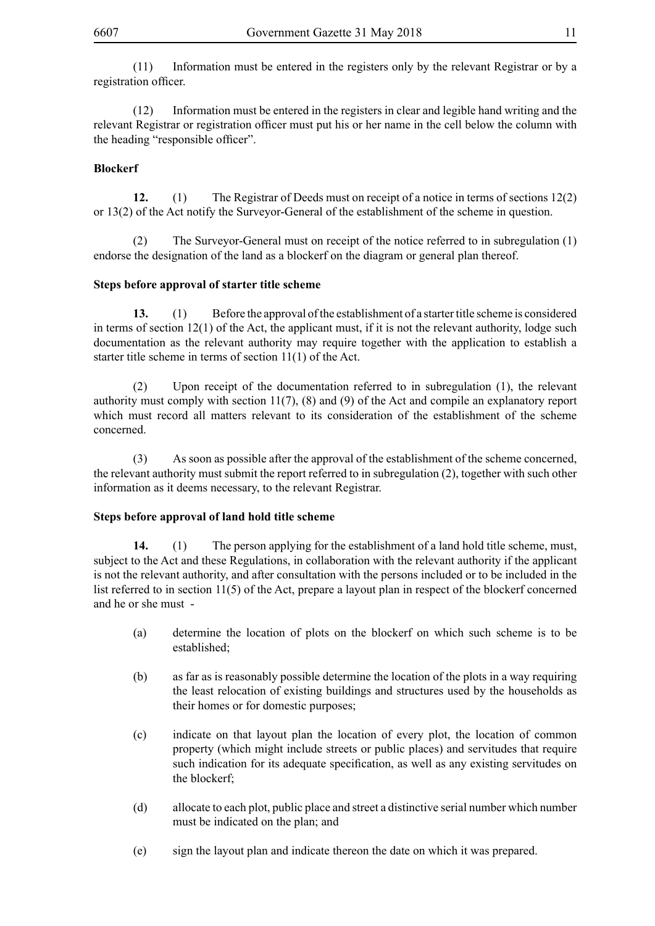(11) Information must be entered in the registers only by the relevant Registrar or by a registration officer.

(12) Information must be entered in the registers in clear and legible hand writing and the relevant Registrar or registration officer must put his or her name in the cell below the column with the heading "responsible officer".

## **Blockerf**

**12.** (1) The Registrar of Deeds must on receipt of a notice in terms of sections 12(2) or 13(2) of the Act notify the Surveyor-General of the establishment of the scheme in question.

(2) The Surveyor-General must on receipt of the notice referred to in subregulation (1) endorse the designation of the land as a blockerf on the diagram or general plan thereof.

### **Steps before approval of starter title scheme**

**13.** (1) Before the approval of the establishment of a starter title scheme is considered in terms of section 12(1) of the Act, the applicant must, if it is not the relevant authority, lodge such documentation as the relevant authority may require together with the application to establish a starter title scheme in terms of section 11(1) of the Act.

(2) Upon receipt of the documentation referred to in subregulation (1), the relevant authority must comply with section 11(7), (8) and (9) of the Act and compile an explanatory report which must record all matters relevant to its consideration of the establishment of the scheme concerned.

(3) As soon as possible after the approval of the establishment of the scheme concerned, the relevant authority must submit the report referred to in subregulation (2), together with such other information as it deems necessary, to the relevant Registrar.

### **Steps before approval of land hold title scheme**

**14.** (1) The person applying for the establishment of a land hold title scheme, must, subject to the Act and these Regulations, in collaboration with the relevant authority if the applicant is not the relevant authority, and after consultation with the persons included or to be included in the list referred to in section 11(5) of the Act, prepare a layout plan in respect of the blockerf concerned and he or she must -

- (a) determine the location of plots on the blockerf on which such scheme is to be established;
- (b) as far as is reasonably possible determine the location of the plots in a way requiring the least relocation of existing buildings and structures used by the households as their homes or for domestic purposes;
- (c) indicate on that layout plan the location of every plot, the location of common property (which might include streets or public places) and servitudes that require such indication for its adequate specification, as well as any existing servitudes on the blockerf;
- (d) allocate to each plot, public place and street a distinctive serial number which number must be indicated on the plan; and
- (e) sign the layout plan and indicate thereon the date on which it was prepared.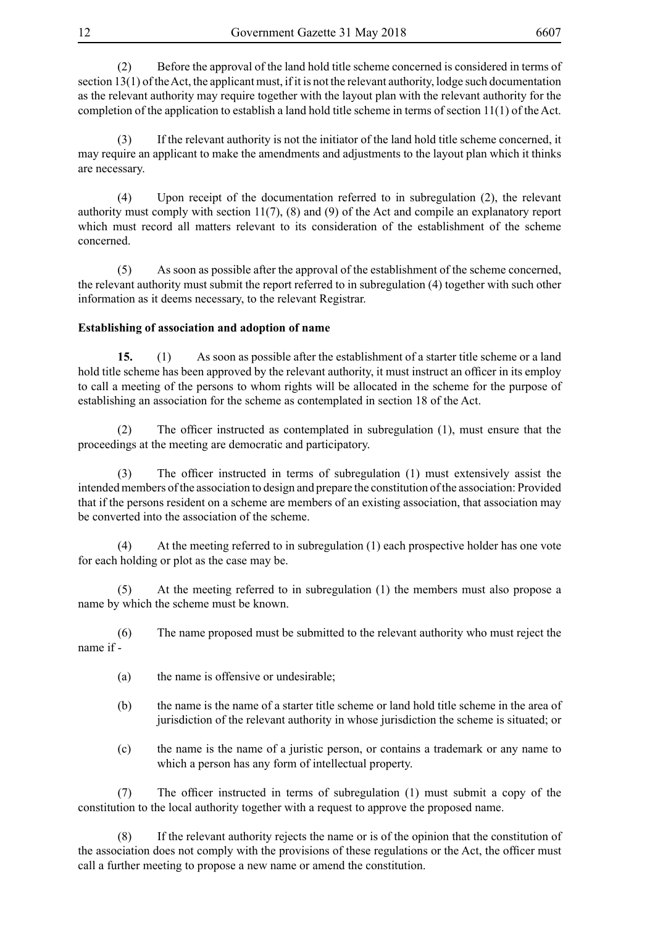(2) Before the approval of the land hold title scheme concerned is considered in terms of section 13(1) of the Act, the applicant must, if it is not the relevant authority, lodge such documentation as the relevant authority may require together with the layout plan with the relevant authority for the completion of the application to establish a land hold title scheme in terms of section 11(1) of the Act.

(3) If the relevant authority is not the initiator of the land hold title scheme concerned, it may require an applicant to make the amendments and adjustments to the layout plan which it thinks are necessary.

(4) Upon receipt of the documentation referred to in subregulation (2), the relevant authority must comply with section 11(7), (8) and (9) of the Act and compile an explanatory report which must record all matters relevant to its consideration of the establishment of the scheme concerned.

(5) As soon as possible after the approval of the establishment of the scheme concerned, the relevant authority must submit the report referred to in subregulation (4) together with such other information as it deems necessary, to the relevant Registrar.

### **Establishing of association and adoption of name**

**15.** (1) As soon as possible after the establishment of a starter title scheme or a land hold title scheme has been approved by the relevant authority, it must instruct an officer in its employ to call a meeting of the persons to whom rights will be allocated in the scheme for the purpose of establishing an association for the scheme as contemplated in section 18 of the Act.

(2) The officer instructed as contemplated in subregulation (1), must ensure that the proceedings at the meeting are democratic and participatory.

(3) The officer instructed in terms of subregulation (1) must extensively assist the intended members of the association to design and prepare the constitution of the association: Provided that if the persons resident on a scheme are members of an existing association, that association may be converted into the association of the scheme.

(4) At the meeting referred to in subregulation (1) each prospective holder has one vote for each holding or plot as the case may be.

(5) At the meeting referred to in subregulation (1) the members must also propose a name by which the scheme must be known.

(6) The name proposed must be submitted to the relevant authority who must reject the name if -

- (a) the name is offensive or undesirable;
- (b) the name is the name of a starter title scheme or land hold title scheme in the area of jurisdiction of the relevant authority in whose jurisdiction the scheme is situated; or
- (c) the name is the name of a juristic person, or contains a trademark or any name to which a person has any form of intellectual property.

(7) The officer instructed in terms of subregulation (1) must submit a copy of the constitution to the local authority together with a request to approve the proposed name.

(8) If the relevant authority rejects the name or is of the opinion that the constitution of the association does not comply with the provisions of these regulations or the Act, the officer must call a further meeting to propose a new name or amend the constitution.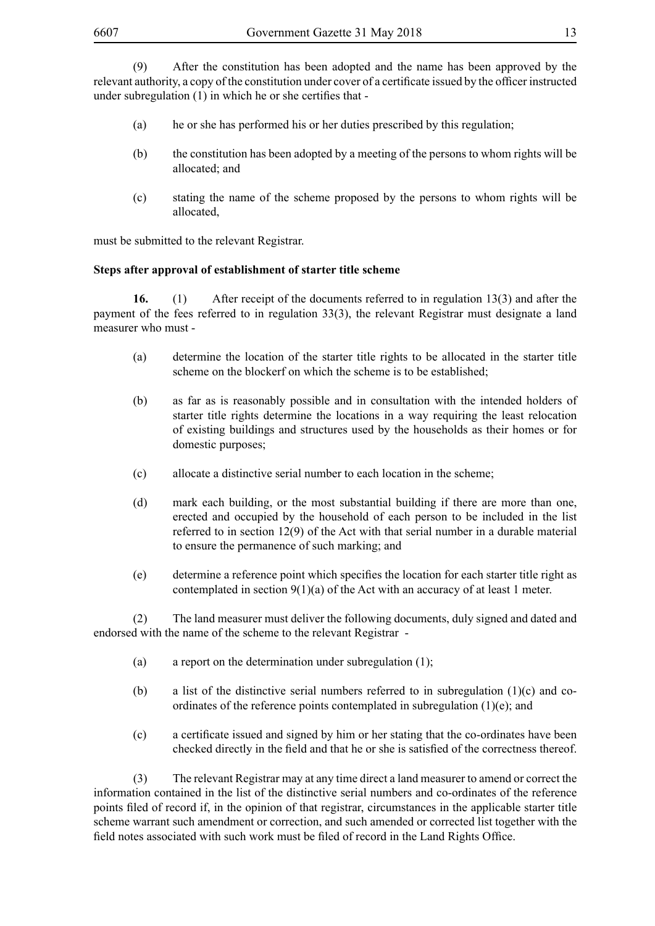(9) After the constitution has been adopted and the name has been approved by the relevant authority, a copy of the constitution under cover of a certificate issued by the officer instructed under subregulation (1) in which he or she certifies that -

- (a) he or she has performed his or her duties prescribed by this regulation;
- (b) the constitution has been adopted by a meeting of the persons to whom rights will be allocated; and
- (c) stating the name of the scheme proposed by the persons to whom rights will be allocated,

must be submitted to the relevant Registrar.

#### **Steps after approval of establishment of starter title scheme**

**16.** (1) After receipt of the documents referred to in regulation 13(3) and after the payment of the fees referred to in regulation 33(3), the relevant Registrar must designate a land measurer who must -

- (a) determine the location of the starter title rights to be allocated in the starter title scheme on the blockerf on which the scheme is to be established;
- (b) as far as is reasonably possible and in consultation with the intended holders of starter title rights determine the locations in a way requiring the least relocation of existing buildings and structures used by the households as their homes or for domestic purposes;
- (c) allocate a distinctive serial number to each location in the scheme;
- (d) mark each building, or the most substantial building if there are more than one, erected and occupied by the household of each person to be included in the list referred to in section 12(9) of the Act with that serial number in a durable material to ensure the permanence of such marking; and
- (e) determine a reference point which specifies the location for each starter title right as contemplated in section  $9(1)(a)$  of the Act with an accuracy of at least 1 meter.

(2) The land measurer must deliver the following documents, duly signed and dated and endorsed with the name of the scheme to the relevant Registrar -

- (a) a report on the determination under subregulation (1);
- (b) a list of the distinctive serial numbers referred to in subregulation  $(1)(c)$  and coordinates of the reference points contemplated in subregulation (1)(e); and
- (c) a certificate issued and signed by him or her stating that the co-ordinates have been checked directly in the field and that he or she is satisfied of the correctness thereof.

(3) The relevant Registrar may at any time direct a land measurer to amend or correct the information contained in the list of the distinctive serial numbers and co-ordinates of the reference points filed of record if, in the opinion of that registrar, circumstances in the applicable starter title scheme warrant such amendment or correction, and such amended or corrected list together with the field notes associated with such work must be filed of record in the Land Rights Office.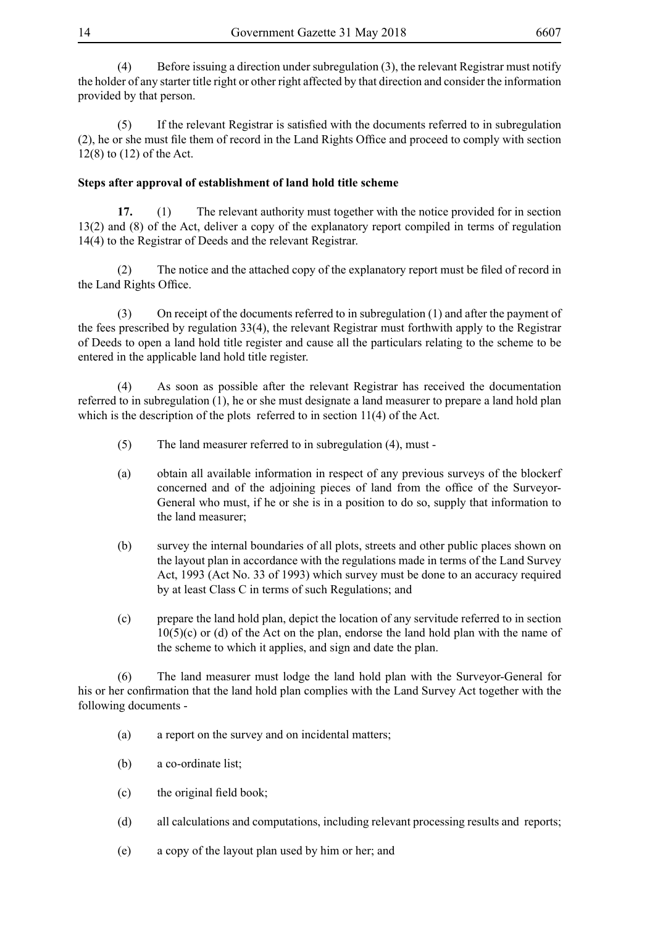(4) Before issuing a direction under subregulation (3), the relevant Registrar must notify the holder of any starter title right or other right affected by that direction and consider the information provided by that person.

(5) If the relevant Registrar is satisfied with the documents referred to in subregulation (2), he or she must file them of record in the Land Rights Office and proceed to comply with section 12(8) to (12) of the Act.

# **Steps after approval of establishment of land hold title scheme**

**17.** (1) The relevant authority must together with the notice provided for in section 13(2) and (8) of the Act, deliver a copy of the explanatory report compiled in terms of regulation 14(4) to the Registrar of Deeds and the relevant Registrar.

(2) The notice and the attached copy of the explanatory report must be filed of record in the Land Rights Office.

(3) On receipt of the documents referred to in subregulation (1) and after the payment of the fees prescribed by regulation 33(4), the relevant Registrar must forthwith apply to the Registrar of Deeds to open a land hold title register and cause all the particulars relating to the scheme to be entered in the applicable land hold title register.

(4) As soon as possible after the relevant Registrar has received the documentation referred to in subregulation (1), he or she must designate a land measurer to prepare a land hold plan which is the description of the plots referred to in section 11(4) of the Act.

- (5) The land measurer referred to in subregulation (4), must -
- (a) obtain all available information in respect of any previous surveys of the blockerf concerned and of the adjoining pieces of land from the office of the Surveyor-General who must, if he or she is in a position to do so, supply that information to the land measurer;
- (b) survey the internal boundaries of all plots, streets and other public places shown on the layout plan in accordance with the regulations made in terms of the Land Survey Act, 1993 (Act No. 33 of 1993) which survey must be done to an accuracy required by at least Class C in terms of such Regulations; and
- (c) prepare the land hold plan, depict the location of any servitude referred to in section  $10(5)(c)$  or (d) of the Act on the plan, endorse the land hold plan with the name of the scheme to which it applies, and sign and date the plan.

(6) The land measurer must lodge the land hold plan with the Surveyor-General for his or her confirmation that the land hold plan complies with the Land Survey Act together with the following documents -

- (a) a report on the survey and on incidental matters;
- (b) a co-ordinate list;
- (c) the original field book;
- (d) all calculations and computations, including relevant processing results and reports;
- (e) a copy of the layout plan used by him or her; and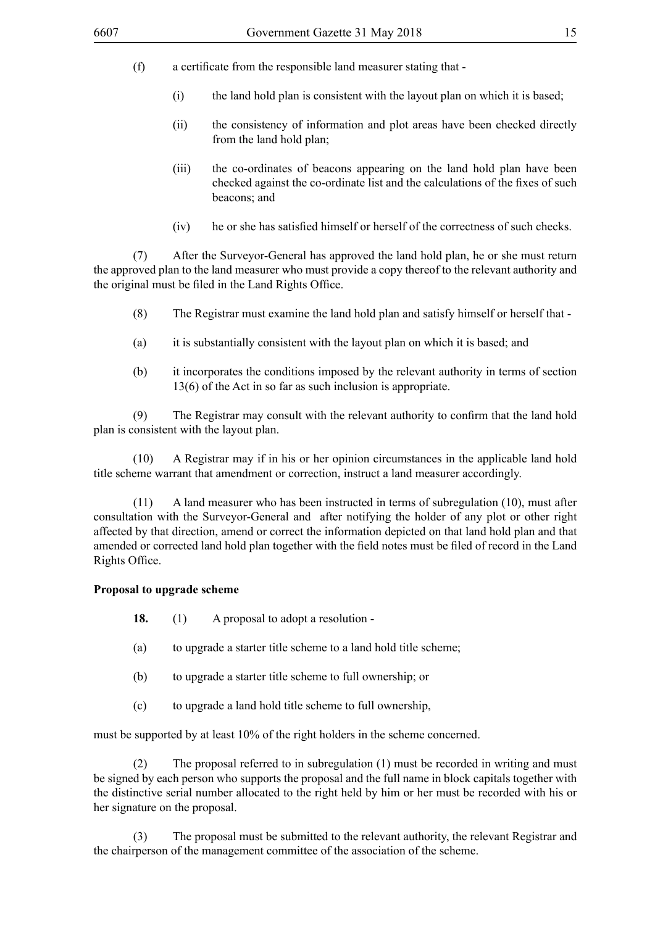- (f) a certificate from the responsible land measurer stating that
	- (i) the land hold plan is consistent with the layout plan on which it is based;
	- (ii) the consistency of information and plot areas have been checked directly from the land hold plan;
	- (iii) the co-ordinates of beacons appearing on the land hold plan have been checked against the co-ordinate list and the calculations of the fixes of such beacons; and
	- (iv) he or she has satisfied himself or herself of the correctness of such checks.

(7) After the Surveyor-General has approved the land hold plan, he or she must return the approved plan to the land measurer who must provide a copy thereof to the relevant authority and the original must be filed in the Land Rights Office.

- (8) The Registrar must examine the land hold plan and satisfy himself or herself that -
- (a) it is substantially consistent with the layout plan on which it is based; and
- (b) it incorporates the conditions imposed by the relevant authority in terms of section 13(6) of the Act in so far as such inclusion is appropriate.

(9) The Registrar may consult with the relevant authority to confirm that the land hold plan is consistent with the layout plan.

(10) A Registrar may if in his or her opinion circumstances in the applicable land hold title scheme warrant that amendment or correction, instruct a land measurer accordingly.

(11) A land measurer who has been instructed in terms of subregulation (10), must after consultation with the Surveyor-General and after notifying the holder of any plot or other right affected by that direction, amend or correct the information depicted on that land hold plan and that amended or corrected land hold plan together with the field notes must be filed of record in the Land Rights Office.

#### **Proposal to upgrade scheme**

- **18.** (1) A proposal to adopt a resolution -
- (a) to upgrade a starter title scheme to a land hold title scheme;
- (b) to upgrade a starter title scheme to full ownership; or
- (c) to upgrade a land hold title scheme to full ownership,

must be supported by at least 10% of the right holders in the scheme concerned.

(2) The proposal referred to in subregulation (1) must be recorded in writing and must be signed by each person who supports the proposal and the full name in block capitals together with the distinctive serial number allocated to the right held by him or her must be recorded with his or her signature on the proposal.

(3) The proposal must be submitted to the relevant authority, the relevant Registrar and the chairperson of the management committee of the association of the scheme.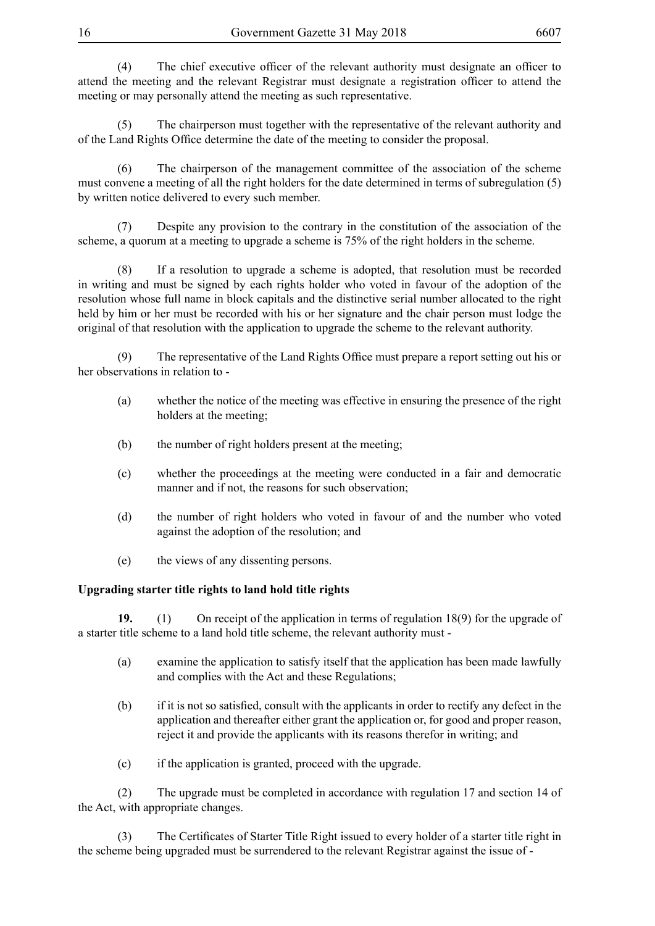(4) The chief executive officer of the relevant authority must designate an officer to attend the meeting and the relevant Registrar must designate a registration officer to attend the meeting or may personally attend the meeting as such representative.

(5) The chairperson must together with the representative of the relevant authority and of the Land Rights Office determine the date of the meeting to consider the proposal.

(6) The chairperson of the management committee of the association of the scheme must convene a meeting of all the right holders for the date determined in terms of subregulation (5) by written notice delivered to every such member.

(7) Despite any provision to the contrary in the constitution of the association of the scheme, a quorum at a meeting to upgrade a scheme is 75% of the right holders in the scheme.

(8) If a resolution to upgrade a scheme is adopted, that resolution must be recorded in writing and must be signed by each rights holder who voted in favour of the adoption of the resolution whose full name in block capitals and the distinctive serial number allocated to the right held by him or her must be recorded with his or her signature and the chair person must lodge the original of that resolution with the application to upgrade the scheme to the relevant authority.

(9) The representative of the Land Rights Office must prepare a report setting out his or her observations in relation to -

- (a) whether the notice of the meeting was effective in ensuring the presence of the right holders at the meeting;
- (b) the number of right holders present at the meeting;
- (c) whether the proceedings at the meeting were conducted in a fair and democratic manner and if not, the reasons for such observation;
- (d) the number of right holders who voted in favour of and the number who voted against the adoption of the resolution; and
- (e) the views of any dissenting persons.

### **Upgrading starter title rights to land hold title rights**

**19.** (1) On receipt of the application in terms of regulation 18(9) for the upgrade of a starter title scheme to a land hold title scheme, the relevant authority must -

- (a) examine the application to satisfy itself that the application has been made lawfully and complies with the Act and these Regulations;
- (b) if it is not so satisfied, consult with the applicants in order to rectify any defect in the application and thereafter either grant the application or, for good and proper reason, reject it and provide the applicants with its reasons therefor in writing; and
- (c) if the application is granted, proceed with the upgrade.

(2) The upgrade must be completed in accordance with regulation 17 and section 14 of the Act, with appropriate changes.

(3) The Certificates of Starter Title Right issued to every holder of a starter title right in the scheme being upgraded must be surrendered to the relevant Registrar against the issue of -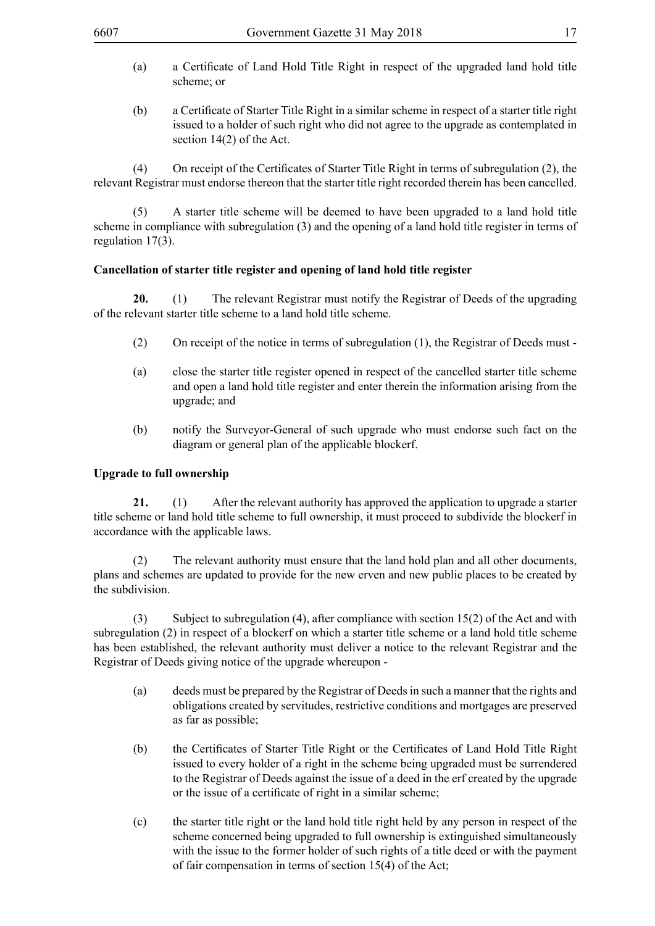- (a) a Certificate of Land Hold Title Right in respect of the upgraded land hold title scheme; or
- (b) a Certificate of Starter Title Right in a similar scheme in respect of a starter title right issued to a holder of such right who did not agree to the upgrade as contemplated in section 14(2) of the Act.

(4) On receipt of the Certificates of Starter Title Right in terms of subregulation (2), the relevant Registrar must endorse thereon that the starter title right recorded therein has been cancelled.

(5) A starter title scheme will be deemed to have been upgraded to a land hold title scheme in compliance with subregulation (3) and the opening of a land hold title register in terms of regulation 17(3).

## **Cancellation of starter title register and opening of land hold title register**

**20.** (1) The relevant Registrar must notify the Registrar of Deeds of the upgrading of the relevant starter title scheme to a land hold title scheme.

- (2) On receipt of the notice in terms of subregulation (1), the Registrar of Deeds must -
- (a) close the starter title register opened in respect of the cancelled starter title scheme and open a land hold title register and enter therein the information arising from the upgrade; and
- (b) notify the Surveyor-General of such upgrade who must endorse such fact on the diagram or general plan of the applicable blockerf.

### **Upgrade to full ownership**

**21.** (1) After the relevant authority has approved the application to upgrade a starter title scheme or land hold title scheme to full ownership, it must proceed to subdivide the blockerf in accordance with the applicable laws.

(2) The relevant authority must ensure that the land hold plan and all other documents, plans and schemes are updated to provide for the new erven and new public places to be created by the subdivision.

(3) Subject to subregulation (4), after compliance with section 15(2) of the Act and with subregulation (2) in respect of a blockerf on which a starter title scheme or a land hold title scheme has been established, the relevant authority must deliver a notice to the relevant Registrar and the Registrar of Deeds giving notice of the upgrade whereupon -

- (a) deeds must be prepared by the Registrar of Deeds in such a manner that the rights and obligations created by servitudes, restrictive conditions and mortgages are preserved as far as possible;
- (b) the Certificates of Starter Title Right or the Certificates of Land Hold Title Right issued to every holder of a right in the scheme being upgraded must be surrendered to the Registrar of Deeds against the issue of a deed in the erf created by the upgrade or the issue of a certificate of right in a similar scheme;
- (c) the starter title right or the land hold title right held by any person in respect of the scheme concerned being upgraded to full ownership is extinguished simultaneously with the issue to the former holder of such rights of a title deed or with the payment of fair compensation in terms of section 15(4) of the Act;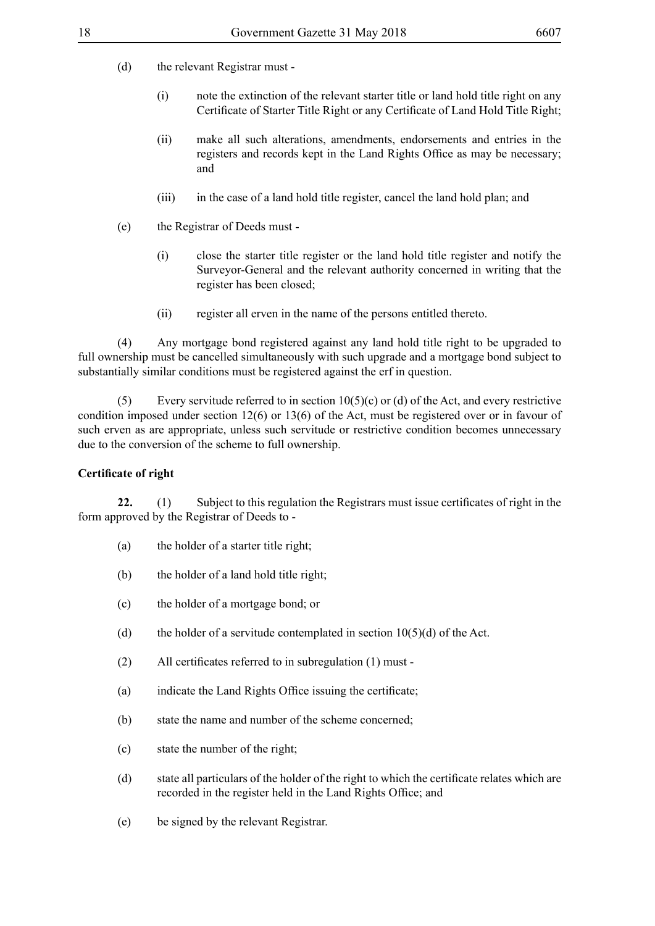(d) the relevant Registrar must -

- (i) note the extinction of the relevant starter title or land hold title right on any Certificate of Starter Title Right or any Certificate of Land Hold Title Right;
- (ii) make all such alterations, amendments, endorsements and entries in the registers and records kept in the Land Rights Office as may be necessary; and
- (iii) in the case of a land hold title register, cancel the land hold plan; and
- (e) the Registrar of Deeds must
	- (i) close the starter title register or the land hold title register and notify the Surveyor-General and the relevant authority concerned in writing that the register has been closed;
	- (ii) register all erven in the name of the persons entitled thereto.

(4) Any mortgage bond registered against any land hold title right to be upgraded to full ownership must be cancelled simultaneously with such upgrade and a mortgage bond subject to substantially similar conditions must be registered against the erf in question.

(5) Every servitude referred to in section  $10(5)(c)$  or (d) of the Act, and every restrictive condition imposed under section 12(6) or 13(6) of the Act, must be registered over or in favour of such erven as are appropriate, unless such servitude or restrictive condition becomes unnecessary due to the conversion of the scheme to full ownership.

# **Certificate of right**

**22.** (1) Subject to this regulation the Registrars must issue certificates of right in the form approved by the Registrar of Deeds to -

- (a) the holder of a starter title right;
- (b) the holder of a land hold title right;
- (c) the holder of a mortgage bond; or
- (d) the holder of a servitude contemplated in section  $10(5)(d)$  of the Act.
- (2) All certificates referred to in subregulation (1) must -
- (a) indicate the Land Rights Office issuing the certificate;
- (b) state the name and number of the scheme concerned;
- (c) state the number of the right;
- (d) state all particulars of the holder of the right to which the certificate relates which are recorded in the register held in the Land Rights Office; and
- (e) be signed by the relevant Registrar.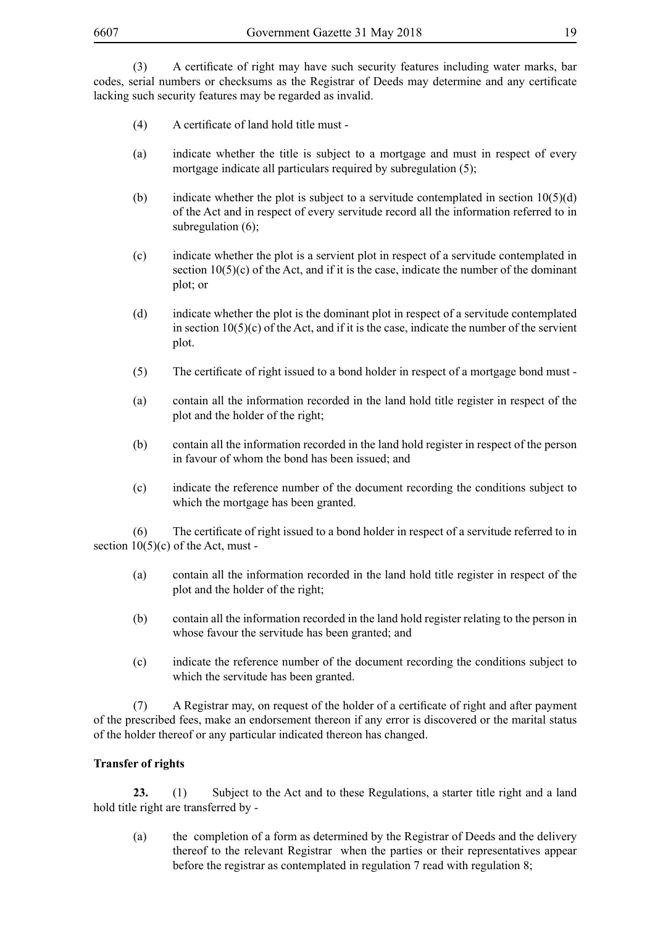(3) A certificate of right may have such security features including water marks, bar codes, serial numbers or checksums as the Registrar of Deeds may determine and any certificate lacking such security features may be regarded as invalid.

- (4) A certificate of land hold title must -
- (a) indicate whether the title is subject to a mortgage and must in respect of every mortgage indicate all particulars required by subregulation (5);
- (b) indicate whether the plot is subject to a servitude contemplated in section  $10(5)(d)$ of the Act and in respect of every servitude record all the information referred to in subregulation (6);
- (c) indicate whether the plot is a servient plot in respect of a servitude contemplated in section  $10(5)(c)$  of the Act, and if it is the case, indicate the number of the dominant plot; or
- (d) indicate whether the plot is the dominant plot in respect of a servitude contemplated in section  $10(5)(c)$  of the Act, and if it is the case, indicate the number of the servient plot.
- (5) The certificate of right issued to a bond holder in respect of a mortgage bond must -
- (a) contain all the information recorded in the land hold title register in respect of the plot and the holder of the right;
- (b) contain all the information recorded in the land hold register in respect of the person in favour of whom the bond has been issued; and
- (c) indicate the reference number of the document recording the conditions subject to which the mortgage has been granted.

(6) The certificate of right issued to a bond holder in respect of a servitude referred to in section  $10(5)(c)$  of the Act, must -

- (a) contain all the information recorded in the land hold title register in respect of the plot and the holder of the right;
- (b) contain all the information recorded in the land hold register relating to the person in whose favour the servitude has been granted; and
- (c) indicate the reference number of the document recording the conditions subject to which the servitude has been granted.

(7) A Registrar may, on request of the holder of a certificate of right and after payment of the prescribed fees, make an endorsement thereon if any error is discovered or the marital status of the holder thereof or any particular indicated thereon has changed.

## **Transfer of rights**

**23.** (1) Subject to the Act and to these Regulations, a starter title right and a land hold title right are transferred by -

(a) the completion of a form as determined by the Registrar of Deeds and the delivery thereof to the relevant Registrar when the parties or their representatives appear before the registrar as contemplated in regulation 7 read with regulation 8;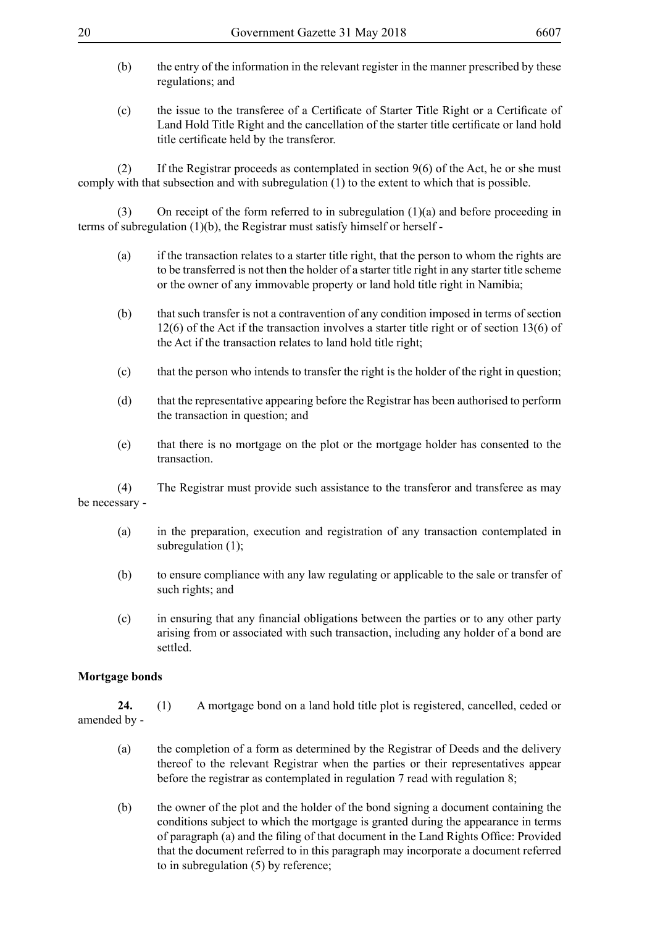- (b) the entry of the information in the relevant register in the manner prescribed by these regulations; and
- (c) the issue to the transferee of a Certificate of Starter Title Right or a Certificate of Land Hold Title Right and the cancellation of the starter title certificate or land hold title certificate held by the transferor.

(2) If the Registrar proceeds as contemplated in section  $9(6)$  of the Act, he or she must comply with that subsection and with subregulation (1) to the extent to which that is possible.

(3) On receipt of the form referred to in subregulation (1)(a) and before proceeding in terms of subregulation (1)(b), the Registrar must satisfy himself or herself -

- (a) if the transaction relates to a starter title right, that the person to whom the rights are to be transferred is not then the holder of a starter title right in any starter title scheme or the owner of any immovable property or land hold title right in Namibia;
- (b) that such transfer is not a contravention of any condition imposed in terms of section 12(6) of the Act if the transaction involves a starter title right or of section 13(6) of the Act if the transaction relates to land hold title right;
- (c) that the person who intends to transfer the right is the holder of the right in question;
- (d) that the representative appearing before the Registrar has been authorised to perform the transaction in question; and
- (e) that there is no mortgage on the plot or the mortgage holder has consented to the transaction.

(4) The Registrar must provide such assistance to the transferor and transferee as may be necessary -

- (a) in the preparation, execution and registration of any transaction contemplated in subregulation (1);
- (b) to ensure compliance with any law regulating or applicable to the sale or transfer of such rights; and
- (c) in ensuring that any financial obligations between the parties or to any other party arising from or associated with such transaction, including any holder of a bond are settled.

### **Mortgage bonds**

**24.** (1) A mortgage bond on a land hold title plot is registered, cancelled, ceded or amended by -

- (a) the completion of a form as determined by the Registrar of Deeds and the delivery thereof to the relevant Registrar when the parties or their representatives appear before the registrar as contemplated in regulation 7 read with regulation 8;
- (b) the owner of the plot and the holder of the bond signing a document containing the conditions subject to which the mortgage is granted during the appearance in terms of paragraph (a) and the filing of that document in the Land Rights Office: Provided that the document referred to in this paragraph may incorporate a document referred to in subregulation (5) by reference;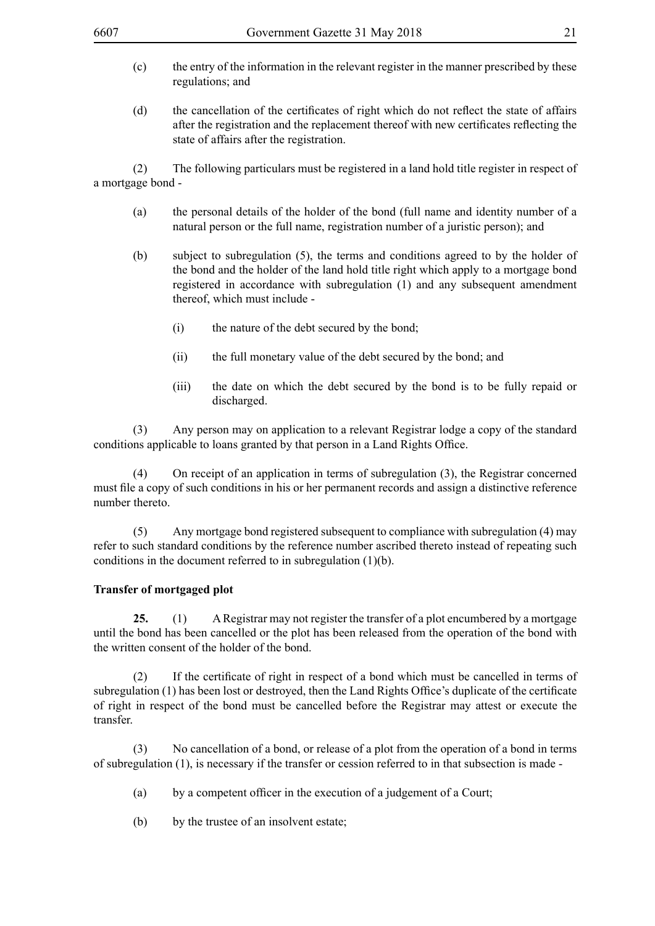- (c) the entry of the information in the relevant register in the manner prescribed by these regulations; and
- (d) the cancellation of the certificates of right which do not reflect the state of affairs after the registration and the replacement thereof with new certificates reflecting the state of affairs after the registration.

(2) The following particulars must be registered in a land hold title register in respect of a mortgage bond -

- (a) the personal details of the holder of the bond (full name and identity number of a natural person or the full name, registration number of a juristic person); and
- (b) subject to subregulation (5), the terms and conditions agreed to by the holder of the bond and the holder of the land hold title right which apply to a mortgage bond registered in accordance with subregulation (1) and any subsequent amendment thereof, which must include -
	- (i) the nature of the debt secured by the bond;
	- (ii) the full monetary value of the debt secured by the bond; and
	- (iii) the date on which the debt secured by the bond is to be fully repaid or discharged.

(3) Any person may on application to a relevant Registrar lodge a copy of the standard conditions applicable to loans granted by that person in a Land Rights Office.

(4) On receipt of an application in terms of subregulation (3), the Registrar concerned must file a copy of such conditions in his or her permanent records and assign a distinctive reference number thereto.

(5) Any mortgage bond registered subsequent to compliance with subregulation (4) may refer to such standard conditions by the reference number ascribed thereto instead of repeating such conditions in the document referred to in subregulation (1)(b).

### **Transfer of mortgaged plot**

**25.** (1) A Registrar may not register the transfer of a plot encumbered by a mortgage until the bond has been cancelled or the plot has been released from the operation of the bond with the written consent of the holder of the bond.

(2) If the certificate of right in respect of a bond which must be cancelled in terms of subregulation (1) has been lost or destroyed, then the Land Rights Office's duplicate of the certificate of right in respect of the bond must be cancelled before the Registrar may attest or execute the transfer.

(3) No cancellation of a bond, or release of a plot from the operation of a bond in terms of subregulation (1), is necessary if the transfer or cession referred to in that subsection is made -

- (a) by a competent officer in the execution of a judgement of a Court;
- (b) by the trustee of an insolvent estate;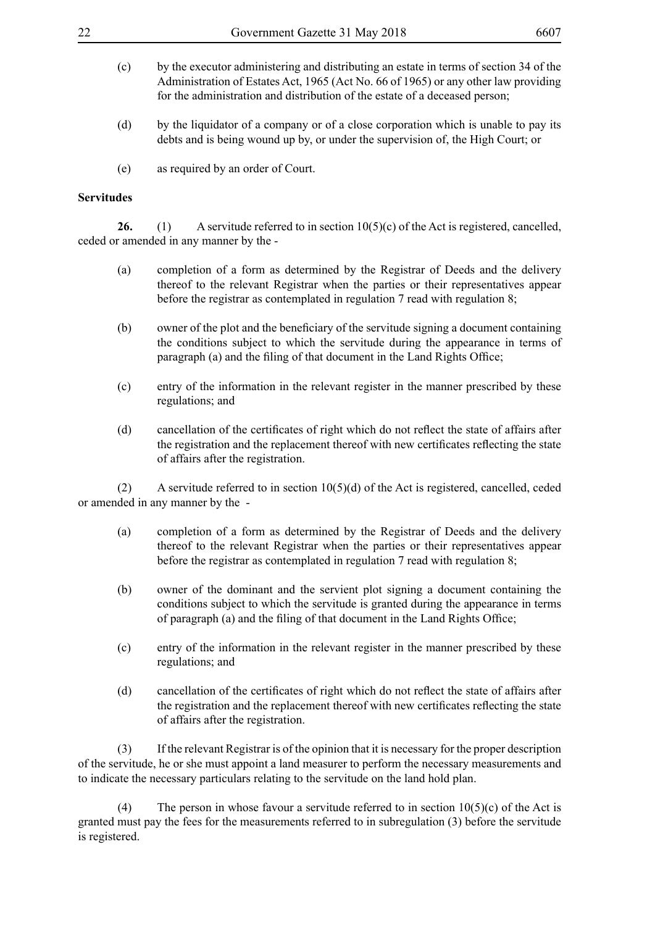| (c) | by the executor administering and distributing an estate in terms of section 34 of the |
|-----|----------------------------------------------------------------------------------------|
|     | Administration of Estates Act, 1965 (Act No. 66 of 1965) or any other law providing    |
|     | for the administration and distribution of the estate of a deceased person;            |

- (d) by the liquidator of a company or of a close corporation which is unable to pay its debts and is being wound up by, or under the supervision of, the High Court; or
- (e) as required by an order of Court.

#### **Servitudes**

26. (1) A servitude referred to in section 10(5)(c) of the Act is registered, cancelled, ceded or amended in any manner by the -

- (a) completion of a form as determined by the Registrar of Deeds and the delivery thereof to the relevant Registrar when the parties or their representatives appear before the registrar as contemplated in regulation 7 read with regulation 8;
- (b) owner of the plot and the beneficiary of the servitude signing a document containing the conditions subject to which the servitude during the appearance in terms of paragraph (a) and the filing of that document in the Land Rights Office;
- (c) entry of the information in the relevant register in the manner prescribed by these regulations; and
- (d) cancellation of the certificates of right which do not reflect the state of affairs after the registration and the replacement thereof with new certificates reflecting the state of affairs after the registration.

(2) A servitude referred to in section 10(5)(d) of the Act is registered, cancelled, ceded or amended in any manner by the -

- (a) completion of a form as determined by the Registrar of Deeds and the delivery thereof to the relevant Registrar when the parties or their representatives appear before the registrar as contemplated in regulation 7 read with regulation 8;
- (b) owner of the dominant and the servient plot signing a document containing the conditions subject to which the servitude is granted during the appearance in terms of paragraph (a) and the filing of that document in the Land Rights Office;
- (c) entry of the information in the relevant register in the manner prescribed by these regulations; and
- (d) cancellation of the certificates of right which do not reflect the state of affairs after the registration and the replacement thereof with new certificates reflecting the state of affairs after the registration.

(3) If the relevant Registrar is of the opinion that it is necessary for the proper description of the servitude, he or she must appoint a land measurer to perform the necessary measurements and to indicate the necessary particulars relating to the servitude on the land hold plan.

(4) The person in whose favour a servitude referred to in section  $10(5)(c)$  of the Act is granted must pay the fees for the measurements referred to in subregulation (3) before the servitude is registered.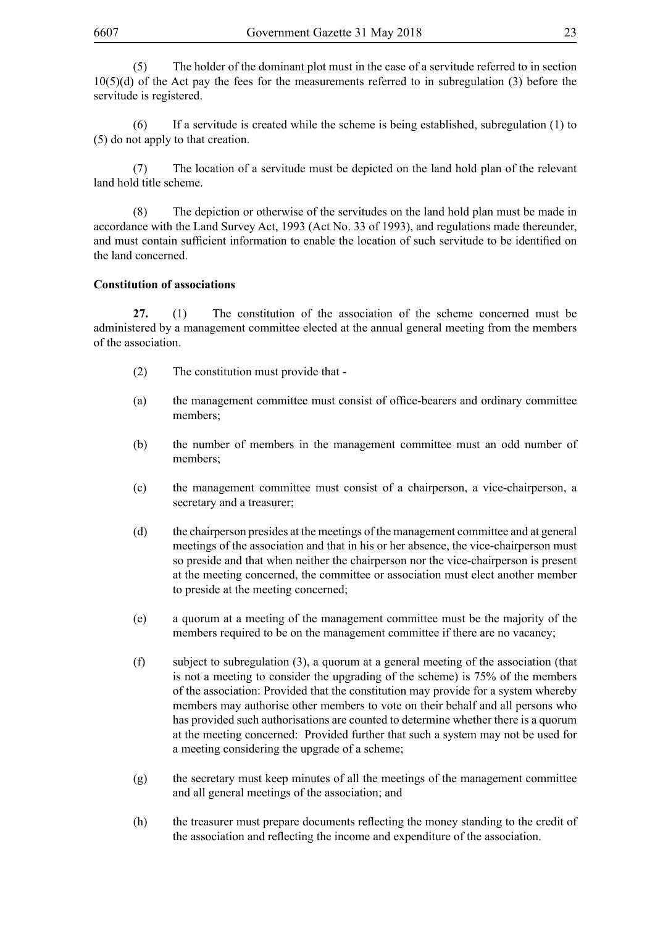(5) The holder of the dominant plot must in the case of a servitude referred to in section 10(5)(d) of the Act pay the fees for the measurements referred to in subregulation (3) before the servitude is registered.

(6) If a servitude is created while the scheme is being established, subregulation (1) to (5) do not apply to that creation.

(7) The location of a servitude must be depicted on the land hold plan of the relevant land hold title scheme.

(8) The depiction or otherwise of the servitudes on the land hold plan must be made in accordance with the Land Survey Act, 1993 (Act No. 33 of 1993), and regulations made thereunder, and must contain sufficient information to enable the location of such servitude to be identified on the land concerned.

### **Constitution of associations**

**27.** (1) The constitution of the association of the scheme concerned must be administered by a management committee elected at the annual general meeting from the members of the association.

- (2) The constitution must provide that -
- (a) the management committee must consist of office-bearers and ordinary committee members;
- (b) the number of members in the management committee must an odd number of members;
- (c) the management committee must consist of a chairperson, a vice-chairperson, a secretary and a treasurer;
- (d) the chairperson presides at the meetings of the management committee and at general meetings of the association and that in his or her absence, the vice-chairperson must so preside and that when neither the chairperson nor the vice-chairperson is present at the meeting concerned, the committee or association must elect another member to preside at the meeting concerned;
- (e) a quorum at a meeting of the management committee must be the majority of the members required to be on the management committee if there are no vacancy;
- (f) subject to subregulation (3), a quorum at a general meeting of the association (that is not a meeting to consider the upgrading of the scheme) is 75% of the members of the association: Provided that the constitution may provide for a system whereby members may authorise other members to vote on their behalf and all persons who has provided such authorisations are counted to determine whether there is a quorum at the meeting concerned: Provided further that such a system may not be used for a meeting considering the upgrade of a scheme;
- (g) the secretary must keep minutes of all the meetings of the management committee and all general meetings of the association; and
- (h) the treasurer must prepare documents reflecting the money standing to the credit of the association and reflecting the income and expenditure of the association.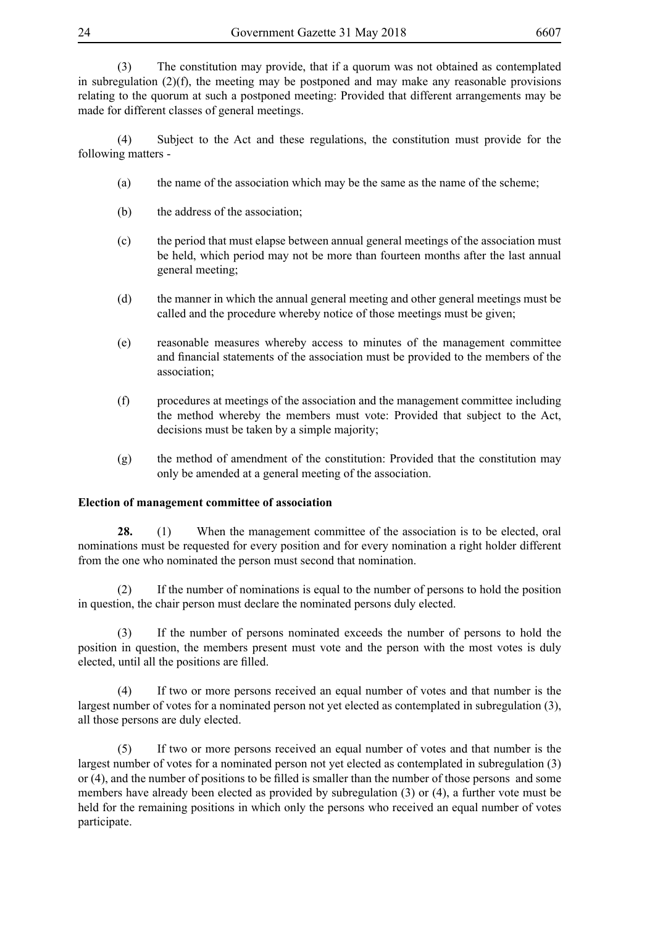(3) The constitution may provide, that if a quorum was not obtained as contemplated in subregulation  $(2)(f)$ , the meeting may be postponed and may make any reasonable provisions relating to the quorum at such a postponed meeting: Provided that different arrangements may be made for different classes of general meetings.

(4) Subject to the Act and these regulations, the constitution must provide for the following matters -

- (a) the name of the association which may be the same as the name of the scheme;
- (b) the address of the association;
- (c) the period that must elapse between annual general meetings of the association must be held, which period may not be more than fourteen months after the last annual general meeting;
- (d) the manner in which the annual general meeting and other general meetings must be called and the procedure whereby notice of those meetings must be given;
- (e) reasonable measures whereby access to minutes of the management committee and financial statements of the association must be provided to the members of the association;
- (f) procedures at meetings of the association and the management committee including the method whereby the members must vote: Provided that subject to the Act, decisions must be taken by a simple majority;
- (g) the method of amendment of the constitution: Provided that the constitution may only be amended at a general meeting of the association.

# **Election of management committee of association**

**28.** (1) When the management committee of the association is to be elected, oral nominations must be requested for every position and for every nomination a right holder different from the one who nominated the person must second that nomination.

(2) If the number of nominations is equal to the number of persons to hold the position in question, the chair person must declare the nominated persons duly elected.

(3) If the number of persons nominated exceeds the number of persons to hold the position in question, the members present must vote and the person with the most votes is duly elected, until all the positions are filled.

(4) If two or more persons received an equal number of votes and that number is the largest number of votes for a nominated person not yet elected as contemplated in subregulation (3), all those persons are duly elected.

(5) If two or more persons received an equal number of votes and that number is the largest number of votes for a nominated person not yet elected as contemplated in subregulation (3) or (4), and the number of positions to be filled is smaller than the number of those persons and some members have already been elected as provided by subregulation (3) or (4), a further vote must be held for the remaining positions in which only the persons who received an equal number of votes participate.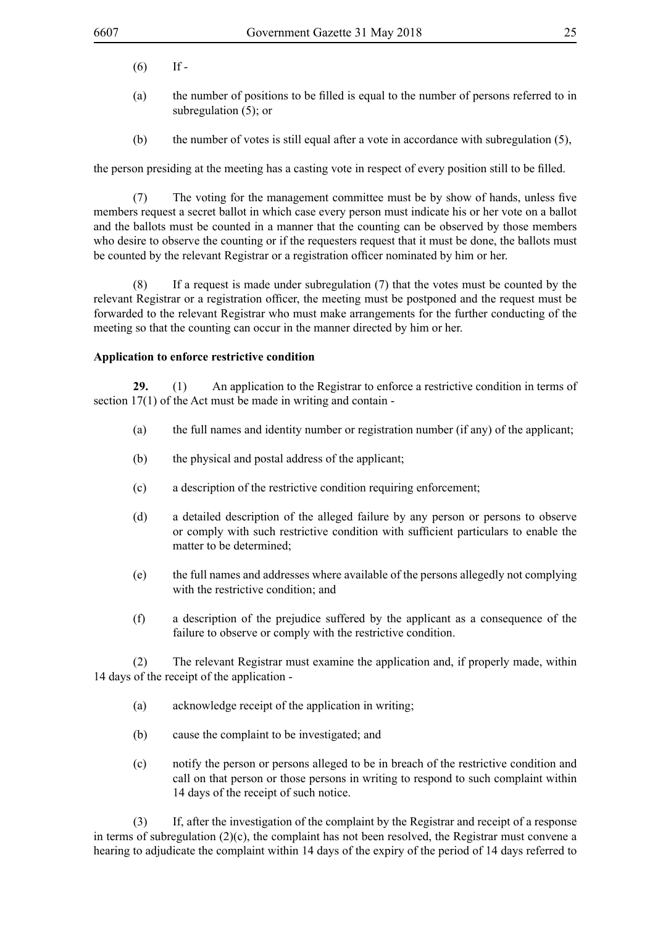- $(6)$  If -
- (a) the number of positions to be filled is equal to the number of persons referred to in subregulation (5); or
- (b) the number of votes is still equal after a vote in accordance with subregulation (5),

the person presiding at the meeting has a casting vote in respect of every position still to be filled.

(7) The voting for the management committee must be by show of hands, unless five members request a secret ballot in which case every person must indicate his or her vote on a ballot and the ballots must be counted in a manner that the counting can be observed by those members who desire to observe the counting or if the requesters request that it must be done, the ballots must be counted by the relevant Registrar or a registration officer nominated by him or her.

(8) If a request is made under subregulation (7) that the votes must be counted by the relevant Registrar or a registration officer, the meeting must be postponed and the request must be forwarded to the relevant Registrar who must make arrangements for the further conducting of the meeting so that the counting can occur in the manner directed by him or her.

### **Application to enforce restrictive condition**

**29.** (1) An application to the Registrar to enforce a restrictive condition in terms of section 17(1) of the Act must be made in writing and contain -

- (a) the full names and identity number or registration number (if any) of the applicant;
- (b) the physical and postal address of the applicant;
- (c) a description of the restrictive condition requiring enforcement;
- (d) a detailed description of the alleged failure by any person or persons to observe or comply with such restrictive condition with sufficient particulars to enable the matter to be determined;
- (e) the full names and addresses where available of the persons allegedly not complying with the restrictive condition; and
- (f) a description of the prejudice suffered by the applicant as a consequence of the failure to observe or comply with the restrictive condition.

(2) The relevant Registrar must examine the application and, if properly made, within 14 days of the receipt of the application -

- (a) acknowledge receipt of the application in writing;
- (b) cause the complaint to be investigated; and
- (c) notify the person or persons alleged to be in breach of the restrictive condition and call on that person or those persons in writing to respond to such complaint within 14 days of the receipt of such notice.

(3) If, after the investigation of the complaint by the Registrar and receipt of a response in terms of subregulation (2)(c), the complaint has not been resolved, the Registrar must convene a hearing to adjudicate the complaint within 14 days of the expiry of the period of 14 days referred to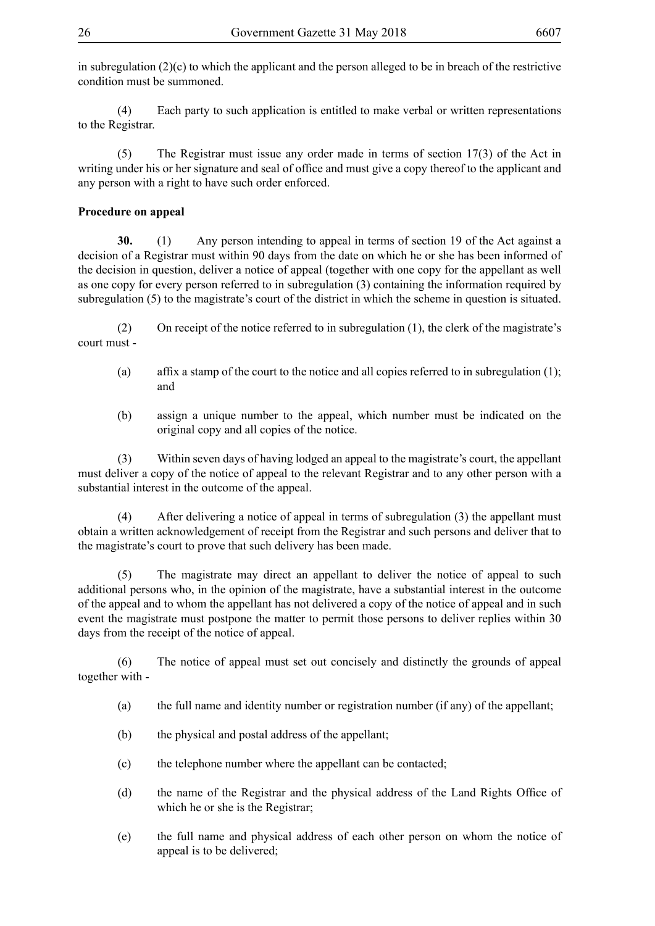in subregulation  $(2)(c)$  to which the applicant and the person alleged to be in breach of the restrictive condition must be summoned.

(4) Each party to such application is entitled to make verbal or written representations to the Registrar.

(5) The Registrar must issue any order made in terms of section 17(3) of the Act in writing under his or her signature and seal of office and must give a copy thereof to the applicant and any person with a right to have such order enforced.

## **Procedure on appeal**

**30.** (1) Any person intending to appeal in terms of section 19 of the Act against a decision of a Registrar must within 90 days from the date on which he or she has been informed of the decision in question, deliver a notice of appeal (together with one copy for the appellant as well as one copy for every person referred to in subregulation (3) containing the information required by subregulation (5) to the magistrate's court of the district in which the scheme in question is situated.

(2) On receipt of the notice referred to in subregulation (1), the clerk of the magistrate's court must -

- (a) affix a stamp of the court to the notice and all copies referred to in subregulation (1); and
- (b) assign a unique number to the appeal, which number must be indicated on the original copy and all copies of the notice.

(3) Within seven days of having lodged an appeal to the magistrate's court, the appellant must deliver a copy of the notice of appeal to the relevant Registrar and to any other person with a substantial interest in the outcome of the appeal.

(4) After delivering a notice of appeal in terms of subregulation (3) the appellant must obtain a written acknowledgement of receipt from the Registrar and such persons and deliver that to the magistrate's court to prove that such delivery has been made.

(5) The magistrate may direct an appellant to deliver the notice of appeal to such additional persons who, in the opinion of the magistrate, have a substantial interest in the outcome of the appeal and to whom the appellant has not delivered a copy of the notice of appeal and in such event the magistrate must postpone the matter to permit those persons to deliver replies within 30 days from the receipt of the notice of appeal.

(6) The notice of appeal must set out concisely and distinctly the grounds of appeal together with -

- (a) the full name and identity number or registration number (if any) of the appellant;
- (b) the physical and postal address of the appellant;
- (c) the telephone number where the appellant can be contacted;
- (d) the name of the Registrar and the physical address of the Land Rights Office of which he or she is the Registrar;
- (e) the full name and physical address of each other person on whom the notice of appeal is to be delivered;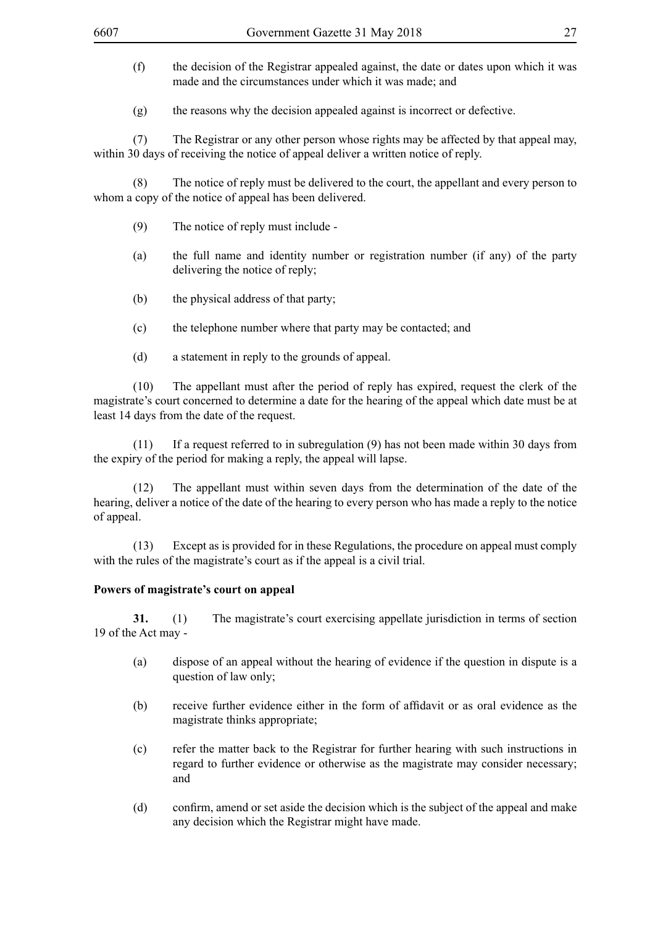- (f) the decision of the Registrar appealed against, the date or dates upon which it was made and the circumstances under which it was made; and
- (g) the reasons why the decision appealed against is incorrect or defective.

(7) The Registrar or any other person whose rights may be affected by that appeal may, within 30 days of receiving the notice of appeal deliver a written notice of reply.

(8) The notice of reply must be delivered to the court, the appellant and every person to whom a copy of the notice of appeal has been delivered.

- (9) The notice of reply must include -
- (a) the full name and identity number or registration number (if any) of the party delivering the notice of reply;
- (b) the physical address of that party;
- (c) the telephone number where that party may be contacted; and
- (d) a statement in reply to the grounds of appeal.

(10) The appellant must after the period of reply has expired, request the clerk of the magistrate's court concerned to determine a date for the hearing of the appeal which date must be at least 14 days from the date of the request.

(11) If a request referred to in subregulation (9) has not been made within 30 days from the expiry of the period for making a reply, the appeal will lapse.

(12) The appellant must within seven days from the determination of the date of the hearing, deliver a notice of the date of the hearing to every person who has made a reply to the notice of appeal.

(13) Except as is provided for in these Regulations, the procedure on appeal must comply with the rules of the magistrate's court as if the appeal is a civil trial.

#### **Powers of magistrate's court on appeal**

**31.** (1) The magistrate's court exercising appellate jurisdiction in terms of section 19 of the Act may -

- (a) dispose of an appeal without the hearing of evidence if the question in dispute is a question of law only;
- (b) receive further evidence either in the form of affidavit or as oral evidence as the magistrate thinks appropriate;
- (c) refer the matter back to the Registrar for further hearing with such instructions in regard to further evidence or otherwise as the magistrate may consider necessary; and
- (d) confirm, amend or set aside the decision which is the subject of the appeal and make any decision which the Registrar might have made.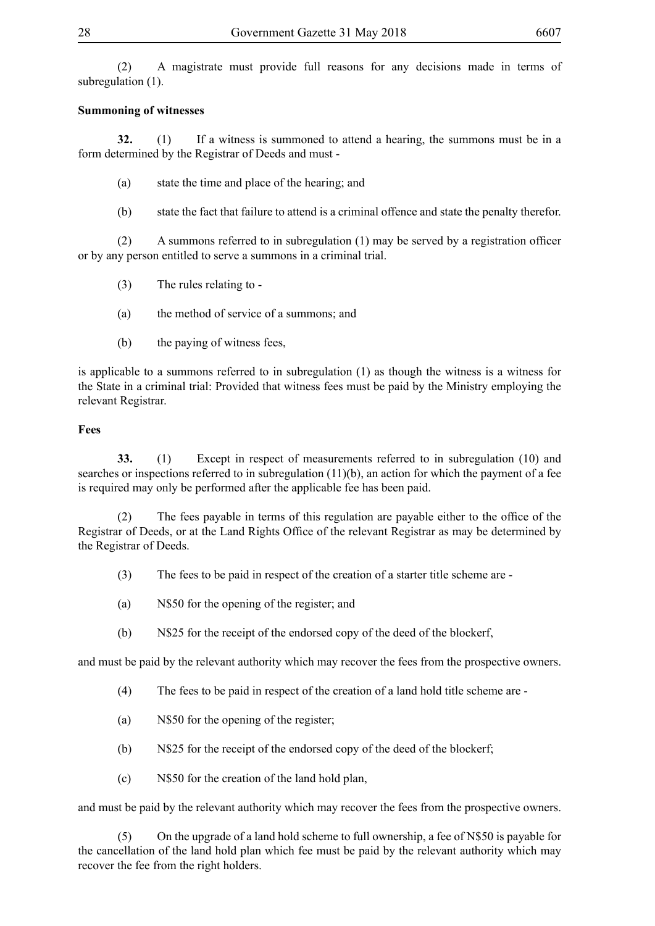(2) A magistrate must provide full reasons for any decisions made in terms of subregulation (1).

## **Summoning of witnesses**

**32.** (1) If a witness is summoned to attend a hearing, the summons must be in a form determined by the Registrar of Deeds and must -

- (a) state the time and place of the hearing; and
- (b) state the fact that failure to attend is a criminal offence and state the penalty therefor.

(2) A summons referred to in subregulation (1) may be served by a registration officer or by any person entitled to serve a summons in a criminal trial.

- (3) The rules relating to -
- (a) the method of service of a summons; and
- (b) the paying of witness fees,

is applicable to a summons referred to in subregulation (1) as though the witness is a witness for the State in a criminal trial: Provided that witness fees must be paid by the Ministry employing the relevant Registrar.

# **Fees**

**33.** (1) Except in respect of measurements referred to in subregulation (10) and searches or inspections referred to in subregulation (11)(b), an action for which the payment of a fee is required may only be performed after the applicable fee has been paid.

(2) The fees payable in terms of this regulation are payable either to the office of the Registrar of Deeds, or at the Land Rights Office of the relevant Registrar as may be determined by the Registrar of Deeds.

- (3) The fees to be paid in respect of the creation of a starter title scheme are -
- (a) N\$50 for the opening of the register; and
- (b) N\$25 for the receipt of the endorsed copy of the deed of the blockerf,

and must be paid by the relevant authority which may recover the fees from the prospective owners.

- (4) The fees to be paid in respect of the creation of a land hold title scheme are -
- (a) N\$50 for the opening of the register;
- (b) N\$25 for the receipt of the endorsed copy of the deed of the blockerf;
- (c) N\$50 for the creation of the land hold plan,

and must be paid by the relevant authority which may recover the fees from the prospective owners.

(5) On the upgrade of a land hold scheme to full ownership, a fee of N\$50 is payable for the cancellation of the land hold plan which fee must be paid by the relevant authority which may recover the fee from the right holders.